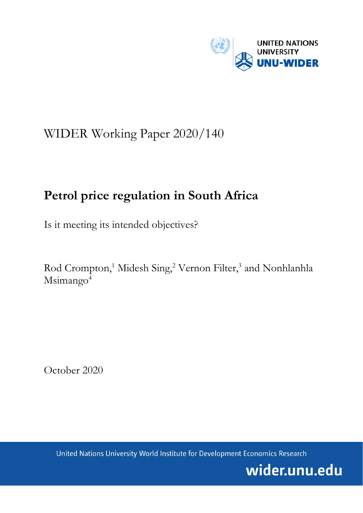

# WIDER Working Paper 2020/140

# **Petrol price regulation in South Africa**

Is it meeting its intended objectives?

Rod Crompton,<sup>1</sup> Midesh Sing,<sup>2</sup> Vernon Filter,<sup>3</sup> and Nonhlanhla Msimango<sup>4</sup>

October 2020

United Nations University World Institute for Development Economics Research

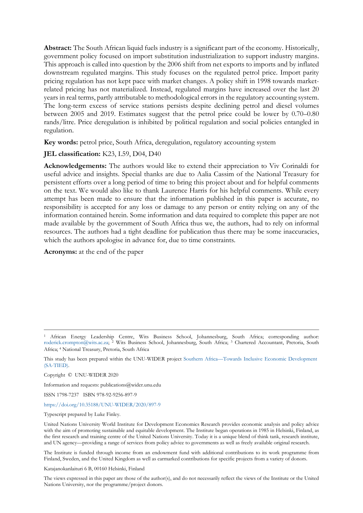**Abstract:** The South African liquid fuels industry is a significant part of the economy. Historically, government policy focused on import substitution industrialization to support industry margins. This approach is called into question by the 2006 shift from net exports to imports and by inflated downstream regulated margins. This study focuses on the regulated petrol price. Import parity pricing regulation has not kept pace with market changes. A policy shift in 1998 towards marketrelated pricing has not materialized. Instead, regulated margins have increased over the last 20 years in real terms, partly attributable to methodological errors in the regulatory accounting system. The long-term excess of service stations persists despite declining petrol and diesel volumes between 2005 and 2019. Estimates suggest that the petrol price could be lower by 0.70–0.80 rands/litre. Price deregulation is inhibited by political regulation and social policies entangled in regulation.

**Key words:** petrol price, South Africa, deregulation, regulatory accounting system

**JEL classification:** K23, L59, D04, D40

**Acknowledgements:** The authors would like to extend their appreciation to Viv Corinaldi for useful advice and insights. Special thanks are due to Aalia Cassim of the National Treasury for persistent efforts over a long period of time to bring this project about and for helpful comments on the text. We would also like to thank Laurence Harris for his helpful comments. While every attempt has been made to ensure that the information published in this paper is accurate, no responsibility is accepted for any loss or damage to any person or entity relying on any of the information contained herein. Some information and data required to complete this paper are not made available by the government of South Africa thus we, the authors, had to rely on informal resources. The authors had a tight deadline for publication thus there may be some inaccuracies, which the authors apologise in advance for, due to time constraints.

**Acronyms:** at the end of the paper

Copyright © UNU-WIDER 2020

Information and requests: publications@wider.unu.edu

ISSN 1798-7237 ISBN 978-92-9256-897-9

<https://doi.org/10.35188/UNU-WIDER/2020/897-9>

Typescript prepared by Luke Finley.

The Institute is funded through income from an endowment fund with additional contributions to its work programme from Finland, Sweden, and the United Kingdom as well as earmarked contributions for specific projects from a variety of donors.

Katajanokanlaituri 6 B, 00160 Helsinki, Finland

The views expressed in this paper are those of the author(s), and do not necessarily reflect the views of the Institute or the United Nations University, nor the programme/project donors.

<sup>1</sup> African Energy Leadership Centre, Wits Business School, Johannesburg, South Africa; corresponding author: [roderick.crompton@wits.ac.za;](mailto:roderick.crompton@wits.ac.za) <sup>2</sup> Wits Business School, Johannesburg, South Africa; <sup>3</sup> Chartered Accountant, Pretoria, South Africa; 4 National Treasury, Pretoria, South Africa

This study has been prepared within the UNU-WIDER project [Southern Africa—Towards Inclusive Economic Development](https://www.wider.unu.edu/node/151233)  [\(SA-TIED\)](https://www.wider.unu.edu/node/151233).

United Nations University World Institute for Development Economics Research provides economic analysis and policy advice with the aim of promoting sustainable and equitable development. The Institute began operations in 1985 in Helsinki, Finland, as the first research and training centre of the United Nations University. Today it is a unique blend of think tank, research institute, and UN agency—providing a range of services from policy advice to governments as well as freely available original research.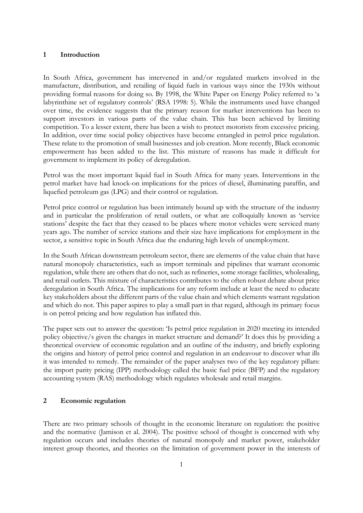#### **1 Introduction**

In South Africa, government has intervened in and/or regulated markets involved in the manufacture, distribution, and retailing of liquid fuels in various ways since the 1930s without providing formal reasons for doing so. By 1998, the White Paper on Energy Policy referred to 'a labyrinthine set of regulatory controls' (RSA 1998: 5). While the instruments used have changed over time, the evidence suggests that the primary reason for market interventions has been to support investors in various parts of the value chain. This has been achieved by limiting competition. To a lesser extent, there has been a wish to protect motorists from excessive pricing. In addition, over time social policy objectives have become entangled in petrol price regulation. These relate to the promotion of small businesses and job creation. More recently, Black economic empowerment has been added to the list. This mixture of reasons has made it difficult for government to implement its policy of deregulation.

Petrol was the most important liquid fuel in South Africa for many years. Interventions in the petrol market have had knock-on implications for the prices of diesel, illuminating paraffin, and liquefied petroleum gas (LPG) and their control or regulation.

Petrol price control or regulation has been intimately bound up with the structure of the industry and in particular the proliferation of retail outlets, or what are colloquially known as 'service stations' despite the fact that they ceased to be places where motor vehicles were serviced many years ago. The number of service stations and their size have implications for employment in the sector, a sensitive topic in South Africa due the enduring high levels of unemployment.

In the South African downstream petroleum sector, there are elements of the value chain that have natural monopoly characteristics, such as import terminals and pipelines that warrant economic regulation, while there are others that do not, such as refineries, some storage facilities, wholesaling, and retail outlets. This mixture of characteristics contributes to the often robust debate about price deregulation in South Africa. The implications for any reform include at least the need to educate key stakeholders about the different parts of the value chain and which elements warrant regulation and which do not. This paper aspires to play a small part in that regard, although its primary focus is on petrol pricing and how regulation has inflated this.

The paper sets out to answer the question: 'Is petrol price regulation in 2020 meeting its intended policy objective/s given the changes in market structure and demand?' It does this by providing a theoretical overview of economic regulation and an outline of the industry, and briefly exploring the origins and history of petrol price control and regulation in an endeavour to discover what ills it was intended to remedy. The remainder of the paper analyses two of the key regulatory pillars: the import parity pricing (IPP) methodology called the basic fuel price (BFP) and the regulatory accounting system (RAS) methodology which regulates wholesale and retail margins.

#### **2 Economic regulation**

There are two primary schools of thought in the economic literature on regulation: the positive and the normative (Jamison et al. 2004). The positive school of thought is concerned with why regulation occurs and includes theories of natural monopoly and market power, stakeholder interest group theories, and theories on the limitation of government power in the interests of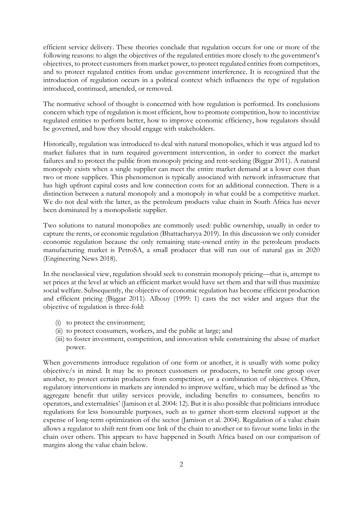efficient service delivery. These theories conclude that regulation occurs for one or more of the following reasons: to align the objectives of the regulated entities more closely to the government's objectives, to protect customers from market power, to protect regulated entities from competitors, and to protect regulated entities from undue government interference. It is recognized that the introduction of regulation occurs in a political context which influences the type of regulation introduced, continued, amended, or removed.

The normative school of thought is concerned with how regulation is performed. Its conclusions concern which type of regulation is most efficient, how to promote competition, how to incentivize regulated entities to perform better, how to improve economic efficiency, how regulators should be governed, and how they should engage with stakeholders.

Historically, regulation was introduced to deal with natural monopolies, which it was argued led to market failures that in turn required government intervention, in order to correct the market failures and to protect the public from monopoly pricing and rent-seeking (Biggar 2011). A natural monopoly exists when a single supplier can meet the entire market demand at a lower cost than two or more suppliers. This phenomenon is typically associated with network infrastructure that has high upfront capital costs and low connection costs for an additional connection. There is a distinction between a natural monopoly and a monopoly in what could be a competitive market. We do not deal with the latter, as the petroleum products value chain in South Africa has never been dominated by a monopolistic supplier.

Two solutions to natural monopolies are commonly used: public ownership, usually in order to capture the rents, or economic regulation (Bhattacharyya 2019). In this discussion we only consider economic regulation because the only remaining state-owned entity in the petroleum products manufacturing market is PetroSA, a small producer that will run out of natural gas in 2020 (Engineering News 2018).

In the neoclassical view, regulation should seek to constrain monopoly pricing—that is, attempt to set prices at the level at which an efficient market would have set them and that will thus maximize social welfare. Subsequently, the objective of economic regulation has become efficient production and efficient pricing (Biggar 2011). Albouy (1999: 1) casts the net wider and argues that the objective of regulation is three-fold:

- (i) to protect the environment;
- (ii) to protect consumers, workers, and the public at large; and
- (iii) to foster investment, competition, and innovation while constraining the abuse of market power.

When governments introduce regulation of one form or another, it is usually with some policy objective/s in mind. It may be to protect customers or producers, to benefit one group over another, to protect certain producers from competition, or a combination of objectives. Often, regulatory interventions in markets are intended to improve welfare, which may be defined as 'the aggregate benefit that utility services provide, including benefits to consumers, benefits to operators, and externalities' (Jamison et al. 2004: 12). But it is also possible that politicians introduce regulations for less honourable purposes, such as to garner short-term electoral support at the expense of long-term optimization of the sector (Jamison et al. 2004). Regulation of a value chain allows a regulator to shift rent from one link of the chain to another or to favour some links in the chain over others. This appears to have happened in South Africa based on our comparison of margins along the value chain below.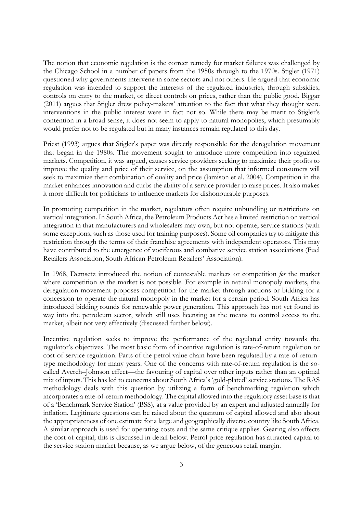The notion that economic regulation is the correct remedy for market failures was challenged by the Chicago School in a number of papers from the 1950s through to the 1970s. Stigler (1971) questioned why governments intervene in some sectors and not others. He argued that economic regulation was intended to support the interests of the regulated industries, through subsidies, controls on entry to the market, or direct controls on prices, rather than the public good. Biggar (2011) argues that Stigler drew policy-makers' attention to the fact that what they thought were interventions in the public interest were in fact not so. While there may be merit to Stigler's contention in a broad sense, it does not seem to apply to natural monopolies, which presumably would prefer not to be regulated but in many instances remain regulated to this day.

Priest (1993) argues that Stigler's paper was directly responsible for the deregulation movement that began in the 1980s. The movement sought to introduce more competition into regulated markets. Competition, it was argued, causes service providers seeking to maximize their profits to improve the quality and price of their service, on the assumption that informed consumers will seek to maximize their combination of quality and price (Jamison et al. 2004). Competition in the market enhances innovation and curbs the ability of a service provider to raise prices. It also makes it more difficult for politicians to influence markets for dishonourable purposes.

In promoting competition in the market, regulators often require unbundling or restrictions on vertical integration. In South Africa, the Petroleum Products Act has a limited restriction on vertical integration in that manufacturers and wholesalers may own, but not operate, service stations (with some exceptions, such as those used for training purposes). Some oil companies try to mitigate this restriction through the terms of their franchise agreements with independent operators. This may have contributed to the emergence of vociferous and combative service station associations (Fuel Retailers Association, South African Petroleum Retailers' Association).

In 1968, Demsetz introduced the notion of contestable markets or competition *for* the market where competition *in* the market is not possible. For example in natural monopoly markets, the deregulation movement proposes competition for the market through auctions or bidding for a concession to operate the natural monopoly in the market for a certain period. South Africa has introduced bidding rounds for renewable power generation. This approach has not yet found its way into the petroleum sector, which still uses licensing as the means to control access to the market, albeit not very effectively (discussed further below).

Incentive regulation seeks to improve the performance of the regulated entity towards the regulator's objectives. The most basic form of incentive regulation is rate-of-return regulation or cost-of-service regulation. Parts of the petrol value chain have been regulated by a rate-of-returntype methodology for many years. One of the concerns with rate-of-return regulation is the socalled Averch–Johnson effect—the favouring of capital over other inputs rather than an optimal mix of inputs. This has led to concerns about South Africa's 'gold-plated' service stations. The RAS methodology deals with this question by utilizing a form of benchmarking regulation which incorporates a rate-of-return methodology. The capital allowed into the regulatory asset base is that of a 'Benchmark Service Station' (BSS), at a value provided by an expert and adjusted annually for inflation. Legitimate questions can be raised about the quantum of capital allowed and also about the appropriateness of one estimate for a large and geographically diverse country like South Africa. A similar approach is used for operating costs and the same critique applies. Gearing also affects the cost of capital; this is discussed in detail below. Petrol price regulation has attracted capital to the service station market because, as we argue below, of the generous retail margin.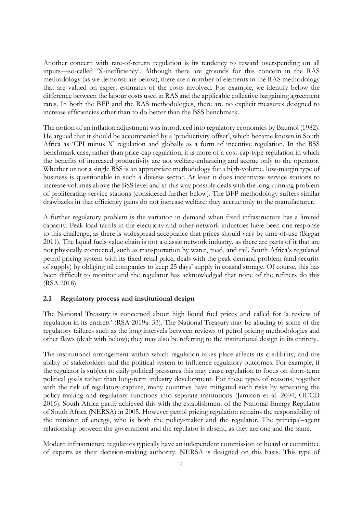Another concern with rate-of-return regulation is its tendency to reward overspending on all inputs—so-called 'X-inefficiency'. Although there are grounds for this concern in the RAS methodology (as we demonstrate below), there are a number of elements in the RAS methodology that are valued on expert estimates of the costs involved. For example, we identify below the difference between the labour costs used in RAS and the applicable collective bargaining agreement rates. In both the BFP and the RAS methodologies, there are no explicit measures designed to increase efficiencies other than to do better than the BSS benchmark.

The notion of an inflation adjustment was introduced into regulatory economics by Baumol (1982). He argued that it should be accompanied by a 'productivity offset', which became known in South Africa as 'CPI minus X' regulation and globally as a form of incentive regulation. In the BSS benchmark case, rather than price-cap regulation, it is more of a cost-cap-type regulation in which the benefits of increased productivity are not welfare-enhancing and accrue only to the operator. Whether or not a single BSS is an appropriate methodology for a high-volume, low-margin type of business is questionable in such a diverse sector. At least it does incentivize service stations to increase volumes above the BSS level and in this way possibly deals with the long-running problem of proliferating service stations (considered further below). The BFP methodology suffers similar drawbacks in that efficiency gains do not increase welfare: they accrue only to the manufacturer.

A further regulatory problem is the variation in demand when fixed infrastructure has a limited capacity. Peak-load tariffs in the electricity and other network industries have been one response to this challenge, as there is widespread acceptance that prices should vary by time-of-use (Biggar 2011). The liquid fuels value chain is not a classic network industry, as there are parts of it that are not physically connected, such as transportation by water, road, and rail. South Africa's regulated petrol pricing system with its fixed retail price, deals with the peak demand problem (and security of supply) by obliging oil companies to keep 25 days' supply in coastal storage. Of course, this has been difficult to monitor and the regulator has acknowledged that none of the refiners do this (RSA 2018).

#### **2.1 Regulatory process and institutional design**

The National Treasury is concerned about high liquid fuel prices and called for 'a review of regulation in its entirety' (RSA 2019a: 33). The National Treasury may be alluding to some of the regulatory failures such as the long intervals between reviews of petrol pricing methodologies and other flaws (dealt with below); they may also be referring to the institutional design in its entirety.

The institutional arrangement within which regulation takes place affects its credibility, and the ability of stakeholders and the political system to influence regulatory outcomes. For example, if the regulator is subject to daily political pressures this may cause regulation to focus on short-term political goals rather than long-term industry development. For these types of reasons, together with the risk of regulatory capture, many countries have mitigated such risks by separating the policy-making and regulatory functions into separate institutions (Jamison et al. 2004; OECD 2016). South Africa partly achieved this with the establishment of the National Energy Regulator of South Africa (NERSA) in 2005. However petrol pricing regulation remains the responsibility of the minister of energy, who is both the policy-maker and the regulator. The principal–agent relationship between the government and the regulator is absent, as they are one and the same.

Modern infrastructure regulators typically have an independent commission or board or committee of experts as their decision-making authority. NERSA is designed on this basis. This type of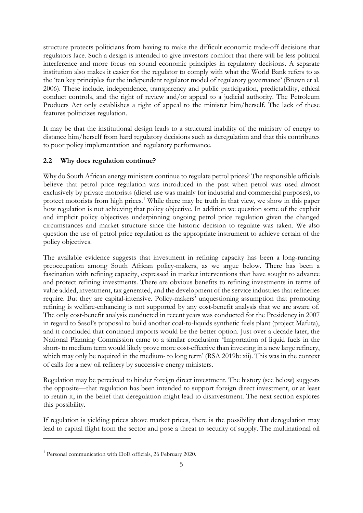structure protects politicians from having to make the difficult economic trade-off decisions that regulators face. Such a design is intended to give investors comfort that there will be less political interference and more focus on sound economic principles in regulatory decisions. A separate institution also makes it easier for the regulator to comply with what the World Bank refers to as the 'ten key principles for the independent regulator model of regulatory governance' (Brown et al. 2006). These include, independence, transparency and public participation, predictability, ethical conduct controls, and the right of review and/or appeal to a judicial authority. The Petroleum Products Act only establishes a right of appeal to the minister him/herself. The lack of these features politicizes regulation.

It may be that the institutional design leads to a structural inability of the ministry of energy to distance him/herself from hard regulatory decisions such as deregulation and that this contributes to poor policy implementation and regulatory performance.

# **2.2 Why does regulation continue?**

Why do South African energy ministers continue to regulate petrol prices? The responsible officials believe that petrol price regulation was introduced in the past when petrol was used almost exclusively by private motorists (diesel use was mainly for industrial and commercial purposes), to protect motorists from high prices. [1](#page-6-0) While there may be truth in that view, we show in this paper how regulation is not achieving that policy objective. In addition we question some of the explicit and implicit policy objectives underpinning ongoing petrol price regulation given the changed circumstances and market structure since the historic decision to regulate was taken. We also question the use of petrol price regulation as the appropriate instrument to achieve certain of the policy objectives.

The available evidence suggests that investment in refining capacity has been a long-running preoccupation among South African policy-makers, as we argue below. There has been a fascination with refining capacity, expressed in market interventions that have sought to advance and protect refining investments. There are obvious benefits to refining investments in terms of value added, investment, tax generated, and the development of the service industries that refineries require. But they are capital-intensive. Policy-makers' unquestioning assumption that promoting refining is welfare-enhancing is not supported by any cost-benefit analysis that we are aware of. The only cost-benefit analysis conducted in recent years was conducted for the Presidency in 2007 in regard to Sasol's proposal to build another coal-to-liquids synthetic fuels plant (project Mafuta), and it concluded that continued imports would be the better option. Just over a decade later, the National Planning Commission came to a similar conclusion: 'Importation of liquid fuels in the short- to medium term would likely prove more cost-effective than investing in a new large refinery, which may only be required in the medium- to long term' (RSA 2019b: xii). This was in the context of calls for a new oil refinery by successive energy ministers.

Regulation may be perceived to hinder foreign direct investment. The history (see below) suggests the opposite—that regulation has been intended to support foreign direct investment, or at least to retain it, in the belief that deregulation might lead to disinvestment. The next section explores this possibility.

If regulation is yielding prices above market prices, there is the possibility that deregulation may lead to capital flight from the sector and pose a threat to security of supply. The multinational oil

<span id="page-6-0"></span><sup>&</sup>lt;sup>1</sup> Personal communication with DoE officials, 26 February 2020.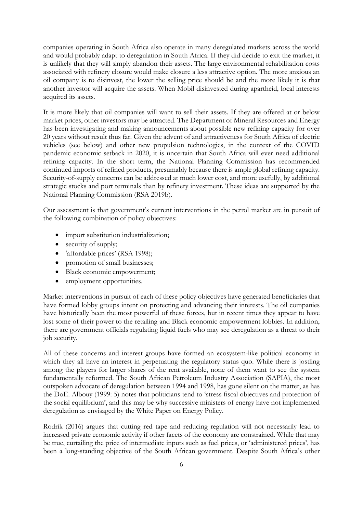companies operating in South Africa also operate in many deregulated markets across the world and would probably adapt to deregulation in South Africa. If they did decide to exit the market, it is unlikely that they will simply abandon their assets. The large environmental rehabilitation costs associated with refinery closure would make closure a less attractive option. The more anxious an oil company is to disinvest, the lower the selling price should be and the more likely it is that another investor will acquire the assets. When Mobil disinvested during apartheid, local interests acquired its assets.

It is more likely that oil companies will want to sell their assets. If they are offered at or below market prices, other investors may be attracted. The Department of Mineral Resources and Energy has been investigating and making announcements about possible new refining capacity for over 20 years without result thus far. Given the advent of and attractiveness for South Africa of electric vehicles (see below) and other new propulsion technologies, in the context of the COVID pandemic economic setback in 2020, it is uncertain that South Africa will ever need additional refining capacity. In the short term, the National Planning Commission has recommended continued imports of refined products, presumably because there is ample global refining capacity. Security-of-supply concerns can be addressed at much lower cost, and more usefully, by additional strategic stocks and port terminals than by refinery investment. These ideas are supported by the National Planning Commission (RSA 2019b).

Our assessment is that government's current interventions in the petrol market are in pursuit of the following combination of policy objectives:

- import substitution industrialization;
- security of supply;
- 'affordable prices' (RSA 1998);
- promotion of small businesses;
- Black economic empowerment;
- employment opportunities.

Market interventions in pursuit of each of these policy objectives have generated beneficiaries that have formed lobby groups intent on protecting and advancing their interests. The oil companies have historically been the most powerful of these forces, but in recent times they appear to have lost some of their power to the retailing and Black economic empowerment lobbies. In addition, there are government officials regulating liquid fuels who may see deregulation as a threat to their job security.

All of these concerns and interest groups have formed an ecosystem-like political economy in which they all have an interest in perpetuating the regulatory status quo. While there is jostling among the players for larger shares of the rent available, none of them want to see the system fundamentally reformed. The South African Petroleum Industry Association (SAPIA), the most outspoken advocate of deregulation between 1994 and 1998, has gone silent on the matter, as has the DoE. Albouy (1999: 5) notes that politicians tend to 'stress fiscal objectives and protection of the social equilibrium', and this may be why successive ministers of energy have not implemented deregulation as envisaged by the White Paper on Energy Policy.

Rodrik (2016) argues that cutting red tape and reducing regulation will not necessarily lead to increased private economic activity if other facets of the economy are constrained. While that may be true, curtailing the price of intermediate inputs such as fuel prices, or 'administered prices', has been a long-standing objective of the South African government. Despite South Africa's other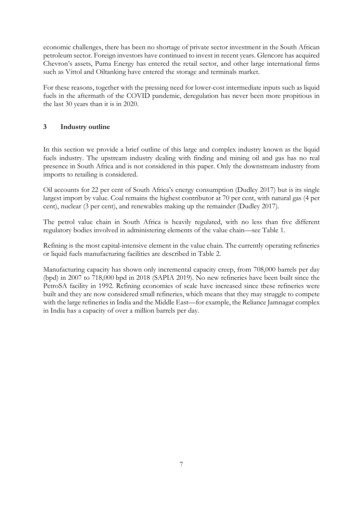economic challenges, there has been no shortage of private sector investment in the South African petroleum sector. Foreign investors have continued to invest in recent years. Glencore has acquired Chevron's assets, Puma Energy has entered the retail sector, and other large international firms such as Vittol and Oiltanking have entered the storage and terminals market.

For these reasons, together with the pressing need for lower-cost intermediate inputs such as liquid fuels in the aftermath of the COVID pandemic, deregulation has never been more propitious in the last 30 years than it is in 2020.

# **3 Industry outline**

In this section we provide a brief outline of this large and complex industry known as the liquid fuels industry. The upstream industry dealing with finding and mining oil and gas has no real presence in South Africa and is not considered in this paper. Only the downstream industry from imports to retailing is considered.

Oil accounts for 22 per cent of South Africa's energy consumption (Dudley 2017) but is its single largest import by value. Coal remains the highest contributor at 70 per cent, with natural gas (4 per cent), nuclear (3 per cent), and renewables making up the remainder (Dudley 2017).

The petrol value chain in South Africa is heavily regulated, with no less than five different regulatory bodies involved in administering elements of the value chain—see [Table 1.](#page-9-0)

Refining is the most capital-intensive element in the value chain. The currently operating refineries or liquid fuels manufacturing facilities are described in [Table 2.](#page-9-1)

Manufacturing capacity has shown only incremental capacity creep, from 708,000 barrels per day (bpd) in 2007 to 718,000 bpd in 2018 (SAPIA 2019). No new refineries have been built since the PetroSA facility in 1992. Refining economies of scale have increased since these refineries were built and they are now considered small refineries, which means that they may struggle to compete with the large refineries in India and the Middle East—for example, the Reliance Jamnagar complex in India has a capacity of over a million barrels per day.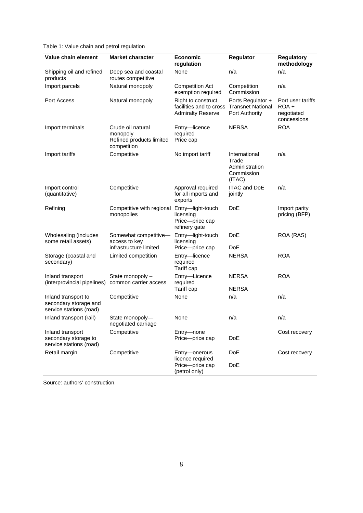<span id="page-9-0"></span>Table 1: Value chain and petrol regulation

| Value chain element                                                     | <b>Market character</b>                                                  | <b>Economic</b><br>regulation                                             | Regulator                                                        | <b>Regulatory</b><br>methodology                          |
|-------------------------------------------------------------------------|--------------------------------------------------------------------------|---------------------------------------------------------------------------|------------------------------------------------------------------|-----------------------------------------------------------|
| Shipping oil and refined<br>products                                    | Deep sea and coastal<br>routes competitive                               | None                                                                      | n/a                                                              | n/a                                                       |
| Import parcels                                                          | Natural monopoly                                                         | <b>Competition Act</b><br>exemption required                              | Competition<br>Commission                                        | n/a                                                       |
| Port Access                                                             | Natural monopoly                                                         | Right to construct<br>facilities and to cross<br><b>Admiralty Reserve</b> | Ports Regulator +<br><b>Transnet National</b><br>Port Authority  | Port user tariffs<br>$ROA +$<br>negotiated<br>concessions |
| Import terminals                                                        | Crude oil natural<br>monopoly<br>Refined products limited<br>competition | Entry-licence<br>required<br>Price cap                                    | <b>NERSA</b>                                                     | <b>ROA</b>                                                |
| Import tariffs                                                          | Competitive                                                              | No import tariff                                                          | International<br>Trade<br>Administration<br>Commission<br>(ITAC) | n/a                                                       |
| Import control<br>(quantitative)                                        | Competitive                                                              | Approval required<br>for all imports and<br>exports                       | <b>ITAC and DoE</b><br>jointly                                   | n/a                                                       |
| Refining                                                                | Competitive with regional<br>monopolies                                  | Entry-light-touch<br>licensing<br>Price-price cap<br>refinery gate        | <b>DoE</b>                                                       | Import parity<br>pricing (BFP)                            |
| Wholesaling (includes<br>some retail assets)                            | Somewhat competitive-<br>access to key<br>infrastructure limited         | Entry-light-touch<br>licensing<br>Price-price cap                         | <b>DoE</b><br><b>DoE</b>                                         | ROA (RAS)                                                 |
| Storage (coastal and<br>secondary)                                      | Limited competition                                                      | Entry-licence<br>required<br>Tariff cap                                   | <b>NERSA</b>                                                     | <b>ROA</b>                                                |
| Inland transport<br>(interprovincial pipelines)                         | State monopoly -<br>common carrier access                                | Entry-Licence<br>required<br>Tariff cap                                   | <b>NERSA</b><br><b>NERSA</b>                                     | <b>ROA</b>                                                |
| Inland transport to<br>secondary storage and<br>service stations (road) | Competitive                                                              | None                                                                      | n/a                                                              | n/a                                                       |
| Inland transport (rail)                                                 | State monopoly-<br>negotiated carriage                                   | None                                                                      | n/a                                                              | n/a                                                       |
| Inland transport<br>secondary storage to<br>service stations (road)     | Competitive                                                              | Entry-none<br>Price-price cap                                             | DoE                                                              | Cost recovery                                             |
| Retail margin                                                           | Competitive                                                              | Entry-onerous<br>licence required<br>Price-price cap<br>(petrol only)     | DoE<br>DoE                                                       | Cost recovery                                             |

<span id="page-9-1"></span>Source: authors' construction.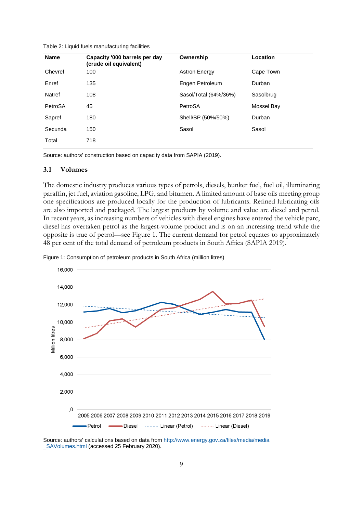Table 2: Liquid fuels manufacturing facilities

| <b>Name</b> | Capacity '000 barrels per day<br>(crude oil equivalent) | Ownership             | Location   |
|-------------|---------------------------------------------------------|-----------------------|------------|
| Chevref     | 100                                                     | <b>Astron Energy</b>  | Cape Town  |
| Enref       | 135                                                     | Engen Petroleum       | Durban     |
| Natref      | 108                                                     | Sasol/Total (64%/36%) | Sasolbrug  |
| PetroSA     | 45                                                      | PetroSA               | Mossel Bay |
| Sapref      | 180                                                     | Shell/BP (50%/50%)    | Durban     |
| Secunda     | 150                                                     | Sasol                 | Sasol      |
| Total       | 718                                                     |                       |            |

Source: authors' construction based on capacity data from SAPIA (2019).

#### **3.1 Volumes**

The domestic industry produces various types of petrols, diesels, bunker fuel, fuel oil, illuminating paraffin, jet fuel, aviation gasoline, LPG, and bitumen. A limited amount of base oils meeting group one specifications are produced locally for the production of lubricants. Refined lubricating oils are also imported and packaged. The largest products by volume and value are diesel and petrol. In recent years, as increasing numbers of vehicles with diesel engines have entered the vehicle parc, diesel has overtaken petrol as the largest-volume product and is on an increasing trend while the opposite is true of petrol—see [Figure 1.](#page-10-0) The current demand for petrol equates to approximately 48 per cent of the total demand of petroleum products in South Africa (SAPIA 2019).



<span id="page-10-0"></span>Figure 1: Consumption of petroleum products in South Africa (million litres)

Source: authors' calculations based on data fro[m http://www.energy.gov.za/files/media/media](http://www.energy.gov.za/files/media/media_SAVolumes.html) SAVolumes.html (accessed 25 February 2020).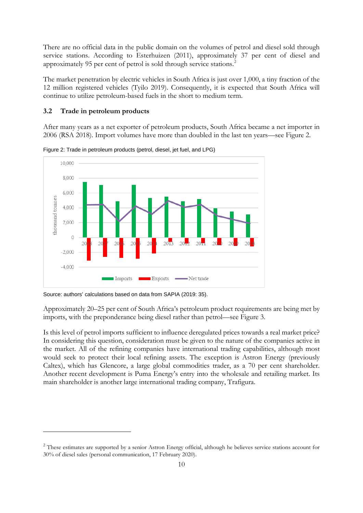There are no official data in the public domain on the volumes of petrol and diesel sold through service stations. According to Esterhuizen (2011), approximately 37 per cent of diesel and approximately 95 per cent of petrol is sold through service stations. [2](#page-11-2)

The market penetration by electric vehicles in South Africa is just over 1,000, a tiny fraction of the 12 million registered vehicles (Tyilo 2019). Consequently, it is expected that South Africa will continue to utilize petroleum-based fuels in the short to medium term.

#### **3.2 Trade in petroleum products**

After many years as a net exporter of petroleum products, South Africa became a net importer in 2006 (RSA 2018). Import volumes have more than doubled in the last ten years—see [Figure 2.](#page-11-0)



<span id="page-11-0"></span>Figure 2: Trade in petroleum products (petrol, diesel, jet fuel, and LPG)

Source: authors' calculations based on data from SAPIA (2019: 35).

Approximately 20–25 per cent of South Africa's petroleum product requirements are being met by imports, with the preponderance being diesel rather than petrol—see [Figure 3.](#page-11-1)

Is this level of petrol imports sufficient to influence deregulated prices towards a real market price? In considering this question, consideration must be given to the nature of the companies active in the market. All of the refining companies have international trading capabilities, although most would seek to protect their local refining assets. The exception is Astron Energy (previously Caltex), which has Glencore, a large global commodities trader, as a 70 per cent shareholder. Another recent development is Puma Energy's entry into the wholesale and retailing market. Its main shareholder is another large international trading company, Trafigura.

<span id="page-11-2"></span><span id="page-11-1"></span><sup>&</sup>lt;sup>2</sup> These estimates are supported by a senior Astron Energy official, although he believes service stations account for 30% of diesel sales (personal communication, 17 February 2020).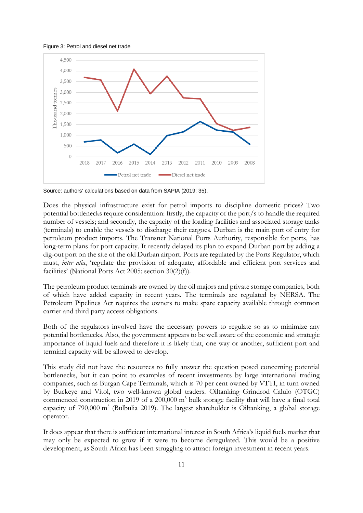



Source: authors' calculations based on data from SAPIA (2019: 35).

Does the physical infrastructure exist for petrol imports to discipline domestic prices? Two potential bottlenecks require consideration: firstly, the capacity of the port/s to handle the required number of vessels; and secondly, the capacity of the loading facilities and associated storage tanks (terminals) to enable the vessels to discharge their cargoes. Durban is the main port of entry for petroleum product imports. The Transnet National Ports Authority, responsible for ports, has long-term plans for port capacity. It recently delayed its plan to expand Durban port by adding a dig-out port on the site of the old Durban airport. Ports are regulated by the Ports Regulator, which must, *inter alia*, 'regulate the provision of adequate, affordable and efficient port services and facilities' (National Ports Act 2005: section 30(2)(f)).

The petroleum product terminals are owned by the oil majors and private storage companies, both of which have added capacity in recent years. The terminals are regulated by NERSA. The Petroleum Pipelines Act requires the owners to make spare capacity available through common carrier and third party access obligations.

Both of the regulators involved have the necessary powers to regulate so as to minimize any potential bottlenecks. Also, the government appears to be well aware of the economic and strategic importance of liquid fuels and therefore it is likely that, one way or another, sufficient port and terminal capacity will be allowed to develop.

This study did not have the resources to fully answer the question posed concerning potential bottlenecks, but it can point to examples of recent investments by large international trading companies, such as Burgan Cape Terminals, which is 70 per cent owned by VTTI, in turn owned by Buckeye and Vitol, two well-known global traders. Oiltanking Grindrod Calulo (OTGC) commenced construction in 2019 of a 200,000  $m<sup>3</sup>$  bulk storage facility that will have a final total capacity of  $790,000 \text{ m}^3$  (Bulbulia 2019). The largest shareholder is Oiltanking, a global storage operator.

It does appear that there is sufficient international interest in South Africa's liquid fuels market that may only be expected to grow if it were to become deregulated. This would be a positive development, as South Africa has been struggling to attract foreign investment in recent years.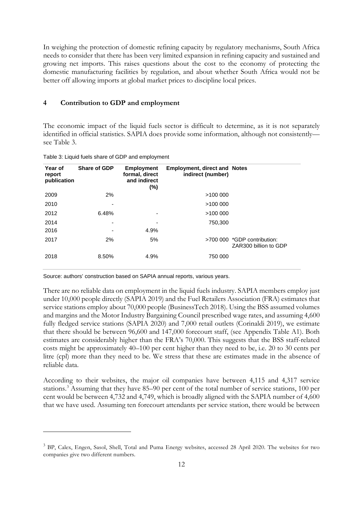In weighing the protection of domestic refining capacity by regulatory mechanisms, South Africa needs to consider that there has been very limited expansion in refining capacity and sustained and growing net imports. This raises questions about the cost to the economy of protecting the domestic manufacturing facilities by regulation, and about whether South Africa would not be better off allowing imports at global market prices to discipline local prices.

#### **4 Contribution to GDP and employment**

The economic impact of the liquid fuels sector is difficult to determine, as it is not separately identified in official statistics. SAPIA does provide some information, although not consistently see [Table 3.](#page-13-0)

| Year of<br>report<br>publication | <b>Share of GDP</b> | Employment<br>formal, direct<br>and indirect<br>$(\%)$ | <b>Employment, direct and Notes</b><br>indirect (number) |                                                      |
|----------------------------------|---------------------|--------------------------------------------------------|----------------------------------------------------------|------------------------------------------------------|
| 2009                             | 2%                  |                                                        | >100 000                                                 |                                                      |
| 2010                             |                     |                                                        | >100000                                                  |                                                      |
| 2012                             | 6.48%               |                                                        | >100000                                                  |                                                      |
| 2014                             | ٠                   | -                                                      | 750,300                                                  |                                                      |
| 2016                             |                     | 4.9%                                                   |                                                          |                                                      |
| 2017                             | 2%                  | 5%                                                     |                                                          | >700 000 *GDP contribution:<br>ZAR300 billion to GDP |
| 2018                             | 8.50%               | 4.9%                                                   | 750 000                                                  |                                                      |

<span id="page-13-0"></span>Table 3: Liquid fuels share of GDP and employment

Source: authors' construction based on SAPIA annual reports, various years.

There are no reliable data on employment in the liquid fuels industry. SAPIA members employ just under 10,000 people directly (SAPIA 2019) and the Fuel Retailers Association (FRA) estimates that service stations employ about 70,000 people (BusinessTech 2018). Using the BSS assumed volumes and margins and the Motor Industry Bargaining Council prescribed wage rates, and assuming 4,600 fully fledged service stations (SAPIA 2020) and 7,000 retail outlets (Corinaldi 2019), we estimate that there should be between 96,600 and 147,000 forecourt staff, (see Appendix Table A1). Both estimates are considerably higher than the FRA's 70,000. This suggests that the BSS staff-related costs might be approximately 40–100 per cent higher than they need to be, i.e. 20 to 30 cents per litre (cpl) more than they need to be. We stress that these are estimates made in the absence of reliable data.

According to their websites, the major oil companies have between 4,115 and 4,317 service stations. [3](#page-13-1) Assuming that they have 85–90 per cent of the total number of service stations, 100 per cent would be between 4,732 and 4,749, which is broadly aligned with the SAPIA number of 4,600 that we have used. Assuming ten forecourt attendants per service station, there would be between

<span id="page-13-1"></span><sup>3</sup> BP, Calex, Engen, Sasol, Shell, Total and Puma Energy websites, accessed 28 April 2020. The websites for two companies give two different numbers.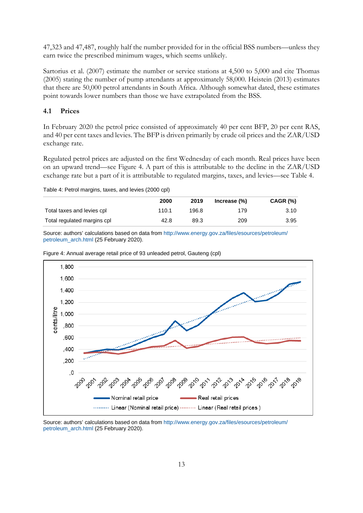47,323 and 47,487, roughly half the number provided for in the official BSS numbers—unless they earn twice the prescribed minimum wages, which seems unlikely.

Sartorius et al. (2007) estimate the number or service stations at 4,500 to 5,000 and cite Thomas (2005) stating the number of pump attendants at approximately 58,000. Heistein (2013) estimates that there are 50,000 petrol attendants in South Africa. Although somewhat dated, these estimates point towards lower numbers than those we have extrapolated from the BSS.

#### **4.1 Prices**

In February 2020 the petrol price consisted of approximately 40 per cent BFP, 20 per cent RAS, and 40 per cent taxes and levies. The BFP is driven primarily by crude oil prices and the ZAR/USD exchange rate.

Regulated petrol prices are adjusted on the first Wednesday of each month. Real prices have been on an upward trend—see [Figure 4.](#page-14-0) A part of this is attributable to the decline in the ZAR/USD exchange rate but a part of it is attributable to regulated margins, taxes, and levies—see [Table 4.](#page-14-1)

<span id="page-14-1"></span>Table 4: Petrol margins, taxes, and levies (2000 cpl)

|                             | 2000  | 2019  | Increase $(\%)$ | CAGR (%) |
|-----------------------------|-------|-------|-----------------|----------|
| Total taxes and levies cpl  | 110.1 | 196.8 | 179             | 3.10     |
| Total regulated margins cpl | 42.8  | 89.3  | 209             | 3.95     |

<span id="page-14-0"></span>Source: authors' calculations based on data fro[m http://www.energy.gov.za/files/esources/petroleum/](http://www.energy.gov.za/files/esources/petroleum/petroleum_arch.html) [petroleum\\_arch.html](http://www.energy.gov.za/files/esources/petroleum/petroleum_arch.html) (25 February 2020).



Figure 4: Annual average retail price of 93 unleaded petrol, Gauteng (cpl)

Source: authors' calculations based on data fro[m http://www.energy.gov.za/files/esources/petroleum/](http://www.energy.gov.za/files/esources/petroleum/petroleum_arch.html) [petroleum\\_arch.html](http://www.energy.gov.za/files/esources/petroleum/petroleum_arch.html) (25 February 2020).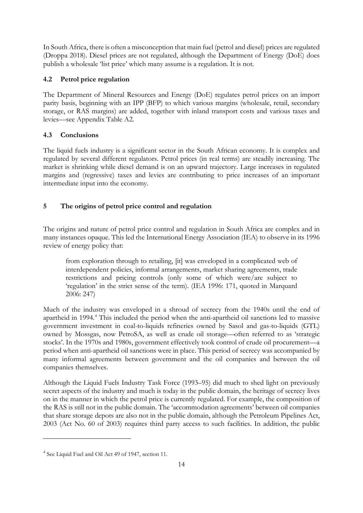In South Africa, there is often a misconception that main fuel (petrol and diesel) prices are regulated (Droppa 2018). Diesel prices are not regulated, although the Department of Energy (DoE) does publish a wholesale 'list price' which many assume is a regulation. It is not.

# **4.2 Petrol price regulation**

The Department of Mineral Resources and Energy (DoE) regulates petrol prices on an import parity basis, beginning with an IPP (BFP) to which various margins (wholesale, retail, secondary storage, or RAS margins) are added, together with inland transport costs and various taxes and levies—see Appendix Table A2.

# **4.3 Conclusions**

The liquid fuels industry is a significant sector in the South African economy. It is complex and regulated by several different regulators. Petrol prices (in real terms) are steadily increasing. The market is shrinking while diesel demand is on an upward trajectory. Large increases in regulated margins and (regressive) taxes and levies are contributing to price increases of an important intermediate input into the economy.

# **5 The origins of petrol price control and regulation**

The origins and nature of petrol price control and regulation in South Africa are complex and in many instances opaque. This led the International Energy Association (IEA) to observe in its 1996 review of energy policy that:

from exploration through to retailing, [it] was enveloped in a complicated web of interdependent policies, informal arrangements, market sharing agreements, trade restrictions and pricing controls (only some of which were/are subject to 'regulation' in the strict sense of the term). (IEA 1996: 171, quoted in Marquard 2006: 247)

Much of the industry was enveloped in a shroud of secrecy from the 1940s until the end of apartheid in 1994. [4](#page-15-0) This included the period when the anti-apartheid oil sanctions led to massive government investment in coal-to-liquids refineries owned by Sasol and gas-to-liquids (GTL) owned by Mossgas, now PetroSA, as well as crude oil storage—often referred to as 'strategic stocks'. In the 1970s and 1980s, government effectively took control of crude oil procurement—a period when anti-apartheid oil sanctions were in place. This period of secrecy was accompanied by many informal agreements between government and the oil companies and between the oil companies themselves.

Although the Liquid Fuels Industry Task Force (1993–95) did much to shed light on previously secret aspects of the industry and much is today in the public domain, the heritage of secrecy lives on in the manner in which the petrol price is currently regulated. For example, the composition of the RAS is still not in the public domain. The 'accommodation agreements' between oil companies that share storage depots are also not in the public domain, although the Petroleum Pipelines Act, 2003 (Act No. 60 of 2003) requires third party access to such facilities. In addition, the public

<span id="page-15-0"></span><sup>4</sup> See Liquid Fuel and Oil Act 49 of 1947, section 11.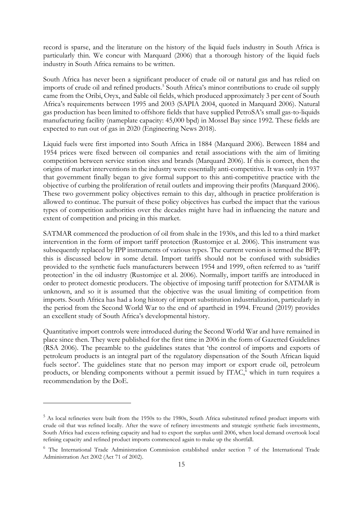record is sparse, and the literature on the history of the liquid fuels industry in South Africa is particularly thin. We concur with Marquard (2006) that a thorough history of the liquid fuels industry in South Africa remains to be written.

South Africa has never been a significant producer of crude oil or natural gas and has relied on imports of crude oil and refined products. [5](#page-16-0) South Africa's minor contributions to crude oil supply came from the Oribi, Oryx, and Sable oil fields, which produced approximately 3 per cent of South Africa's requirements between 1995 and 2003 (SAPIA 2004, quoted in Marquard 2006). Natural gas production has been limited to offshore fields that have supplied PetroSA's small gas-to-liquids manufacturing facility (nameplate capacity: 45,000 bpd) in Mossel Bay since 1992. These fields are expected to run out of gas in 2020 (Engineering News 2018).

Liquid fuels were first imported into South Africa in 1884 (Marquard 2006). Between 1884 and 1954 prices were fixed between oil companies and retail associations with the aim of limiting competition between service station sites and brands (Marquard 2006). If this is correct, then the origins of market interventions in the industry were essentially anti-competitive. It was only in 1937 that government finally began to give formal support to this anti-competitive practice with the objective of curbing the proliferation of retail outlets and improving their profits (Marquard 2006). These two government policy objectives remain to this day, although in practice proliferation is allowed to continue. The pursuit of these policy objectives has curbed the impact that the various types of competition authorities over the decades might have had in influencing the nature and extent of competition and pricing in this market.

SATMAR commenced the production of oil from shale in the 1930s, and this led to a third market intervention in the form of import tariff protection (Rustomjee et al. 2006). This instrument was subsequently replaced by IPP instruments of various types. The current version is termed the BFP; this is discussed below in some detail. Import tariffs should not be confused with subsidies provided to the synthetic fuels manufacturers between 1954 and 1999, often referred to as 'tariff protection' in the oil industry (Rustomjee et al. 2006). Normally, import tariffs are introduced in order to protect domestic producers. The objective of imposing tariff protection for SATMAR is unknown, and so it is assumed that the objective was the usual limiting of competition from imports. South Africa has had a long history of import substitution industrialization, particularly in the period from the Second World War to the end of apartheid in 1994. Freund (2019) provides an excellent study of South Africa's developmental history.

Quantitative import controls were introduced during the Second World War and have remained in place since then. They were published for the first time in 2006 in the form of Gazetted Guidelines (RSA 2006). The preamble to the guidelines states that 'the control of imports and exports of petroleum products is an integral part of the regulatory dispensation of the South African liquid fuels sector'. The guidelines state that no person may import or export crude oil, petroleum products, or blending components without a permit issued by ITAC, [6](#page-16-1) which in turn requires a recommendation by the DoE.

<span id="page-16-0"></span><sup>&</sup>lt;sup>5</sup> As local refineries were built from the 1950s to the 1980s, South Africa substituted refined product imports with crude oil that was refined locally. After the wave of refinery investments and strategic synthetic fuels investments, South Africa had excess refining capacity and had to export the surplus until 2006, when local demand overtook local refining capacity and refined product imports commenced again to make up the shortfall.

<span id="page-16-1"></span><sup>6</sup> The International Trade Administration Commission established under section 7 of the International Trade Administration Act 2002 (Act 71 of 2002).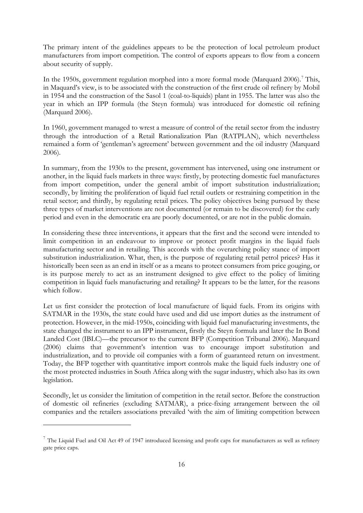The primary intent of the guidelines appears to be the protection of local petroleum product manufacturers from import competition. The control of exports appears to flow from a concern about security of supply.

In the 1950s, government regulation morphed into a more formal mode (Marquard 2006). [7](#page-17-0) This, in Maquard's view, is to be associated with the construction of the first crude oil refinery by Mobil in 1954 and the construction of the Sasol 1 (coal-to-liquids) plant in 1955. The latter was also the year in which an IPP formula (the Steyn formula) was introduced for domestic oil refining (Marquard 2006).

In 1960, government managed to wrest a measure of control of the retail sector from the industry through the introduction of a Retail Rationalization Plan (RATPLAN), which nevertheless remained a form of 'gentleman's agreement' between government and the oil industry (Marquard 2006).

In summary, from the 1930s to the present, government has intervened, using one instrument or another, in the liquid fuels markets in three ways: firstly, by protecting domestic fuel manufactures from import competition, under the general ambit of import substitution industrialization; secondly, by limiting the proliferation of liquid fuel retail outlets or restraining competition in the retail sector; and thirdly, by regulating retail prices. The policy objectives being pursued by these three types of market interventions are not documented (or remain to be discovered) for the early period and even in the democratic era are poorly documented, or are not in the public domain.

In considering these three interventions, it appears that the first and the second were intended to limit competition in an endeavour to improve or protect profit margins in the liquid fuels manufacturing sector and in retailing. This accords with the overarching policy stance of import substitution industrialization. What, then, is the purpose of regulating retail petrol prices? Has it historically been seen as an end in itself or as a means to protect consumers from price gouging, or is its purpose merely to act as an instrument designed to give effect to the policy of limiting competition in liquid fuels manufacturing and retailing? It appears to be the latter, for the reasons which follow.

Let us first consider the protection of local manufacture of liquid fuels. From its origins with SATMAR in the 1930s, the state could have used and did use import duties as the instrument of protection. However, in the mid-1950s, coinciding with liquid fuel manufacturing investments, the state changed the instrument to an IPP instrument, firstly the Steyn formula and later the In Bond Landed Cost (IBLC)—the precursor to the current BFP (Competition Tribunal 2006). Marquard (2006) claims that government's intention was to encourage import substitution and industrialization, and to provide oil companies with a form of guaranteed return on investment. Today, the BFP together with quantitative import controls make the liquid fuels industry one of the most protected industries in South Africa along with the sugar industry, which also has its own legislation.

Secondly, let us consider the limitation of competition in the retail sector. Before the construction of domestic oil refineries (excluding SATMAR), a price-fixing arrangement between the oil companies and the retailers associations prevailed 'with the aim of limiting competition between

<span id="page-17-0"></span> $7$  The Liquid Fuel and Oil Act 49 of 1947 introduced licensing and profit caps for manufacturers as well as refinery gate price caps.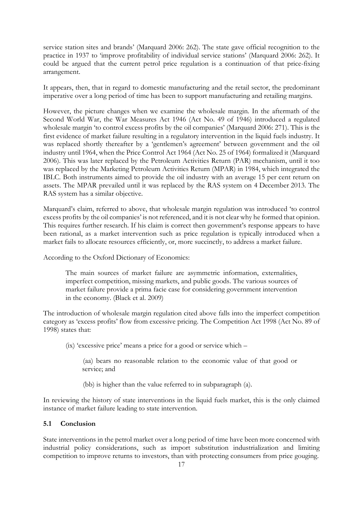service station sites and brands' (Marquard 2006: 262). The state gave official recognition to the practice in 1937 to 'improve profitability of individual service stations' (Marquard 2006: 262). It could be argued that the current petrol price regulation is a continuation of that price-fixing arrangement.

It appears, then, that in regard to domestic manufacturing and the retail sector, the predominant imperative over a long period of time has been to support manufacturing and retailing margins.

However, the picture changes when we examine the wholesale margin. In the aftermath of the Second World War, the War Measures Act 1946 (Act No. 49 of 1946) introduced a regulated wholesale margin 'to control excess profits by the oil companies' (Marquard 2006: 271). This is the first evidence of market failure resulting in a regulatory intervention in the liquid fuels industry. It was replaced shortly thereafter by a 'gentlemen's agreement' between government and the oil industry until 1964, when the Price Control Act 1964 (Act No. 25 of 1964) formalized it (Marquard 2006). This was later replaced by the Petroleum Activities Return (PAR) mechanism, until it too was replaced by the Marketing Petroleum Activities Return (MPAR) in 1984, which integrated the IBLC. Both instruments aimed to provide the oil industry with an average 15 per cent return on assets. The MPAR prevailed until it was replaced by the RAS system on 4 December 2013. The RAS system has a similar objective.

Marquard's claim, referred to above, that wholesale margin regulation was introduced 'to control excess profits by the oil companies' is not referenced, and it is not clear why he formed that opinion. This requires further research. If his claim is correct then government's response appears to have been rational, as a market intervention such as price regulation is typically introduced when a market fails to allocate resources efficiently, or, more succinctly, to address a market failure.

According to the Oxford Dictionary of Economics:

The main sources of market failure are asymmetric information, externalities, imperfect competition, missing markets, and public goods. The various sources of market failure provide a prima facie case for considering government intervention in the economy. (Black et al. 2009)

The introduction of wholesale margin regulation cited above falls into the imperfect competition category as 'excess profits' flow from excessive pricing. The Competition Act 1998 (Act No. 89 of 1998) states that:

(ix) 'excessive price' means a price for a good or service which –

(aa) bears no reasonable relation to the economic value of that good or service; and

(bb) is higher than the value referred to in subparagraph (a).

In reviewing the history of state interventions in the liquid fuels market, this is the only claimed instance of market failure leading to state intervention.

#### **5.1 Conclusion**

State interventions in the petrol market over a long period of time have been more concerned with industrial policy considerations, such as import substitution industrialization and limiting competition to improve returns to investors, than with protecting consumers from price gouging.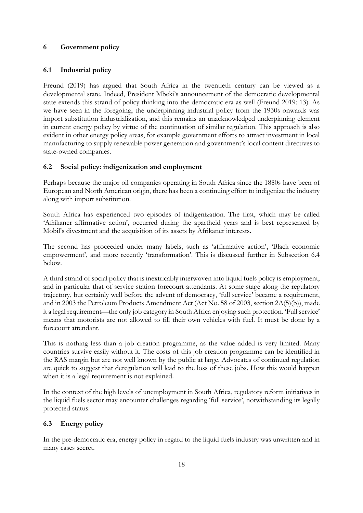# **6 Government policy**

# **6.1 Industrial policy**

Freund (2019) has argued that South Africa in the twentieth century can be viewed as a developmental state. Indeed, President Mbeki's announcement of the democratic developmental state extends this strand of policy thinking into the democratic era as well (Freund 2019: 13). As we have seen in the foregoing, the underpinning industrial policy from the 1930s onwards was import substitution industrialization, and this remains an unacknowledged underpinning element in current energy policy by virtue of the continuation of similar regulation. This approach is also evident in other energy policy areas, for example government efforts to attract investment in local manufacturing to supply renewable power generation and government's local content directives to state-owned companies.

# **6.2 Social policy: indigenization and employment**

Perhaps because the major oil companies operating in South Africa since the 1880s have been of European and North American origin, there has been a continuing effort to indigenize the industry along with import substitution.

South Africa has experienced two episodes of indigenization. The first, which may be called 'Afrikaner affirmative action', occurred during the apartheid years and is best represented by Mobil's divestment and the acquisition of its assets by Afrikaner interests.

The second has proceeded under many labels, such as 'affirmative action', 'Black economic empowerment', and more recently 'transformation'. This is discussed further in Subsection 6.4 below.

A third strand of social policy that is inextricably interwoven into liquid fuels policy is employment, and in particular that of service station forecourt attendants. At some stage along the regulatory trajectory, but certainly well before the advent of democracy, 'full service' became a requirement, and in 2003 the Petroleum Products Amendment Act (Act No. 58 of 2003, section 2A(5)(b)), made it a legal requirement—the only job category in South Africa enjoying such protection. 'Full service' means that motorists are not allowed to fill their own vehicles with fuel. It must be done by a forecourt attendant.

This is nothing less than a job creation programme, as the value added is very limited. Many countries survive easily without it. The costs of this job creation programme can be identified in the RAS margin but are not well known by the public at large. Advocates of continued regulation are quick to suggest that deregulation will lead to the loss of these jobs. How this would happen when it is a legal requirement is not explained.

In the context of the high levels of unemployment in South Africa, regulatory reform initiatives in the liquid fuels sector may encounter challenges regarding 'full service', notwithstanding its legally protected status.

# **6.3 Energy policy**

In the pre-democratic era, energy policy in regard to the liquid fuels industry was unwritten and in many cases secret.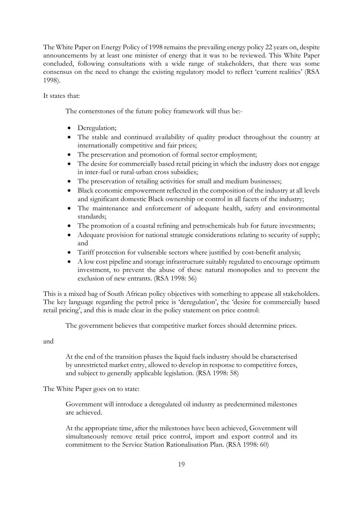The White Paper on Energy Policy of 1998 remains the prevailing energy policy 22 years on, despite announcements by at least one minister of energy that it was to be reviewed. This White Paper concluded, following consultations with a wide range of stakeholders, that there was some consensus on the need to change the existing regulatory model to reflect 'current realities' (RSA 1998).

It states that:

The cornerstones of the future policy framework will thus be:-

- Deregulation;
- The stable and continued availability of quality product throughout the country at internationally competitive and fair prices;
- The preservation and promotion of formal sector employment;
- The desire for commercially based retail pricing in which the industry does not engage in inter-fuel or rural-urban cross subsidies;
- The preservation of retailing activities for small and medium businesses;
- Black economic empowerment reflected in the composition of the industry at all levels and significant domestic Black ownership or control in all facets of the industry;
- The maintenance and enforcement of adequate health, safety and environmental standards;
- The promotion of a coastal refining and petrochemicals hub for future investments;
- Adequate provision for national strategic considerations relating to security of supply; and
- Tariff protection for vulnerable sectors where justified by cost-benefit analysis;
- A low cost pipeline and storage infrastructure suitably regulated to encourage optimum investment, to prevent the abuse of these natural monopolies and to prevent the exclusion of new entrants. (RSA 1998: 56)

This is a mixed bag of South African policy objectives with something to appease all stakeholders. The key language regarding the petrol price is 'deregulation', the 'desire for commercially based retail pricing', and this is made clear in the policy statement on price control:

The government believes that competitive market forces should determine prices.

and

At the end of the transition phases the liquid fuels industry should be characterised by unrestricted market entry, allowed to develop in response to competitive forces, and subject to generally applicable legislation. (RSA 1998: 58)

The White Paper goes on to state:

Government will introduce a deregulated oil industry as predetermined milestones are achieved.

At the appropriate time, after the milestones have been achieved, Government will simultaneously remove retail price control, import and export control and its commitment to the Service Station Rationalisation Plan. (RSA 1998: 60)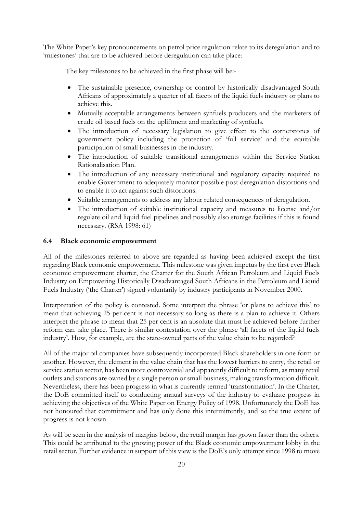The White Paper's key pronouncements on petrol price regulation relate to its deregulation and to 'milestones' that are to be achieved before deregulation can take place:

The key milestones to be achieved in the first phase will be:-

- The sustainable presence, ownership or control by historically disadvantaged South Africans of approximately a quarter of all facets of the liquid fuels industry or plans to achieve this.
- Mutually acceptable arrangements between synfuels producers and the marketers of crude oil based fuels on the upliftment and marketing of synfuels.
- The introduction of necessary legislation to give effect to the cornerstones of government policy including the protection of 'full service' and the equitable participation of small businesses in the industry.
- The introduction of suitable transitional arrangements within the Service Station Rationalisation Plan.
- The introduction of any necessary institutional and regulatory capacity required to enable Government to adequately monitor possible post deregulation distortions and to enable it to act against such distortions.
- Suitable arrangements to address any labour related consequences of deregulation.
- The introduction of suitable institutional capacity and measures to license and/or regulate oil and liquid fuel pipelines and possibly also storage facilities if this is found necessary. (RSA 1998: 61)

#### **6.4 Black economic empowerment**

All of the milestones referred to above are regarded as having been achieved except the first regarding Black economic empowerment. This milestone was given impetus by the first ever Black economic empowerment charter, the Charter for the South African Petroleum and Liquid Fuels Industry on Empowering Historically Disadvantaged South Africans in the Petroleum and Liquid Fuels Industry ('the Charter') signed voluntarily by industry participants in November 2000.

Interpretation of the policy is contested. Some interpret the phrase 'or plans to achieve this' to mean that achieving 25 per cent is not necessary so long as there is a plan to achieve it. Others interpret the phrase to mean that 25 per cent is an absolute that must be achieved before further reform can take place. There is similar contestation over the phrase 'all facets of the liquid fuels industry'. How, for example, are the state-owned parts of the value chain to be regarded?

All of the major oil companies have subsequently incorporated Black shareholders in one form or another. However, the element in the value chain that has the lowest barriers to entry, the retail or service station sector, has been more controversial and apparently difficult to reform, as many retail outlets and stations are owned by a single person or small business, making transformation difficult. Nevertheless, there has been progress in what is currently termed 'transformation'. In the Charter, the DoE committed itself to conducting annual surveys of the industry to evaluate progress in achieving the objectives of the White Paper on Energy Policy of 1998. Unfortunately the DoE has not honoured that commitment and has only done this intermittently, and so the true extent of progress is not known.

As will be seen in the analysis of margins below, the retail margin has grown faster than the others. This could be attributed to the growing power of the Black economic empowerment lobby in the retail sector. Further evidence in support of this view is the DoE's only attempt since 1998 to move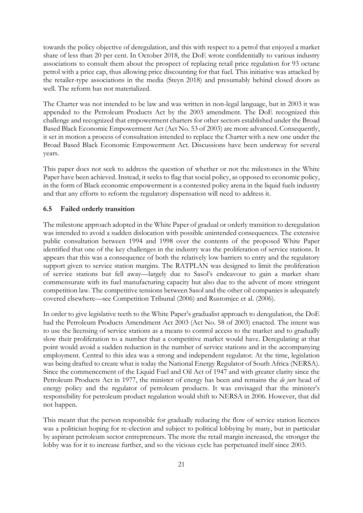towards the policy objective of deregulation, and this with respect to a petrol that enjoyed a market share of less than 20 per cent. In October 2018, the DoE wrote confidentially to various industry associations to consult them about the prospect of replacing retail price regulation for 93 octane petrol with a price cap, thus allowing price discounting for that fuel. This initiative was attacked by the retailer-type associations in the media (Steyn 2018) and presumably behind closed doors as well. The reform has not materialized.

The Charter was not intended to be law and was written in non-legal language, but in 2003 it was appended to the Petroleum Products Act by the 2003 amendment. The DoE recognized this challenge and recognized that empowerment charters for other sectors established under the Broad Based Black Economic Empowerment Act (Act No. 53 of 2003) are more advanced. Consequently, it set in motion a process of consultation intended to replace the Charter with a new one under the Broad Based Black Economic Empowerment Act. Discussions have been underway for several years.

This paper does not seek to address the question of whether or not the milestones in the White Paper have been achieved. Instead, it seeks to flag that social policy, as opposed to economic policy, in the form of Black economic empowerment is a contested policy arena in the liquid fuels industry and that any efforts to reform the regulatory dispensation will need to address it.

#### **6.5 Failed orderly transition**

The milestone approach adopted in the White Paper of gradual or orderly transition to deregulation was intended to avoid a sudden dislocation with possible unintended consequences. The extensive public consultation between 1994 and 1998 over the contents of the proposed White Paper identified that one of the key challenges in the industry was the proliferation of service stations. It appears that this was a consequence of both the relatively low barriers to entry and the regulatory support given to service station margins. The RATPLAN was designed to limit the proliferation of service stations but fell away—largely due to Sasol's endeavour to gain a market share commensurate with its fuel manufacturing capacity but also due to the advent of more stringent competition law. The competitive tensions between Sasol and the other oil companies is adequately covered elsewhere—see Competition Tribunal (2006) and Rustomjee et al. (2006).

In order to give legislative teeth to the White Paper's gradualist approach to deregulation, the DoE had the Petroleum Products Amendment Act 2003 (Act No. 58 of 2003) enacted. The intent was to use the licensing of service stations as a means to control access to the market and to gradually slow their proliferation to a number that a competitive market would have. Deregulating at that point would avoid a sudden reduction in the number of service stations and in the accompanying employment. Central to this idea was a strong and independent regulator. At the time, legislation was being drafted to create what is today the National Energy Regulator of South Africa (NERSA). Since the commencement of the Liquid Fuel and Oil Act of 1947 and with greater clarity since the Petroleum Products Act in 1977, the minister of energy has been and remains the *de jure* head of energy policy and the regulator of petroleum products. It was envisaged that the minister's responsibility for petroleum product regulation would shift to NERSA in 2006. However, that did not happen.

This meant that the person responsible for gradually reducing the flow of service station licences was a politician hoping for re-election and subject to political lobbying by many, but in particular by aspirant petroleum sector entrepreneurs. The more the retail margin increased, the stronger the lobby was for it to increase further, and so the vicious cycle has perpetuated itself since 2003.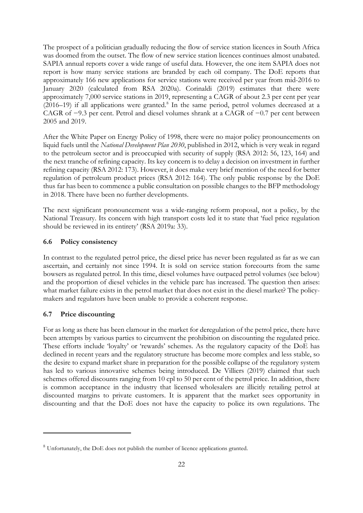The prospect of a politician gradually reducing the flow of service station licences in South Africa was doomed from the outset. The flow of new service station licences continues almost unabated. SAPIA annual reports cover a wide range of useful data. However, the one item SAPIA does not report is how many service stations are branded by each oil company. The DoE reports that approximately 166 new applications for service stations were received per year from mid-2016 to January 2020 (calculated from RSA 2020a). Corinaldi (2019) estimates that there were approximately 7,000 service stations in 2019, representing a CAGR of about 2.3 per cent per year (2016–19) if all applications were granted. [8](#page-23-0) In the same period, petrol volumes decreased at a CAGR of −9.3 per cent. Petrol and diesel volumes shrank at a CAGR of −0.7 per cent between 2005 and 2019.

After the White Paper on Energy Policy of 1998, there were no major policy pronouncements on liquid fuels until the *National Development Plan 2030*, published in 2012, which is very weak in regard to the petroleum sector and is preoccupied with security of supply (RSA 2012: 56, 123, 164) and the next tranche of refining capacity. Its key concern is to delay a decision on investment in further refining capacity (RSA 2012: 173). However, it does make very brief mention of the need for better regulation of petroleum product prices (RSA 2012: 164). The only public response by the DoE thus far has been to commence a public consultation on possible changes to the BFP methodology in 2018. There have been no further developments.

The next significant pronouncement was a wide-ranging reform proposal, not a policy, by the National Treasury. Its concern with high transport costs led it to state that 'fuel price regulation should be reviewed in its entirety' (RSA 2019a: 33).

#### **6.6 Policy consistency**

In contrast to the regulated petrol price, the diesel price has never been regulated as far as we can ascertain, and certainly not since 1994. It is sold on service station forecourts from the same bowsers as regulated petrol. In this time, diesel volumes have outpaced petrol volumes (see below) and the proportion of diesel vehicles in the vehicle parc has increased. The question then arises: what market failure exists in the petrol market that does not exist in the diesel market? The policymakers and regulators have been unable to provide a coherent response.

#### **6.7 Price discounting**

For as long as there has been clamour in the market for deregulation of the petrol price, there have been attempts by various parties to circumvent the prohibition on discounting the regulated price. These efforts include 'loyalty' or 'rewards' schemes. As the regulatory capacity of the DoE has declined in recent years and the regulatory structure has become more complex and less stable, so the desire to expand market share in preparation for the possible collapse of the regulatory system has led to various innovative schemes being introduced. De Villiers (2019) claimed that such schemes offered discounts ranging from 10 cpl to 50 per cent of the petrol price. In addition, there is common acceptance in the industry that licensed wholesalers are illicitly retailing petrol at discounted margins to private customers. It is apparent that the market sees opportunity in discounting and that the DoE does not have the capacity to police its own regulations. The

<span id="page-23-0"></span><sup>&</sup>lt;sup>8</sup> Unfortunately, the DoE does not publish the number of licence applications granted.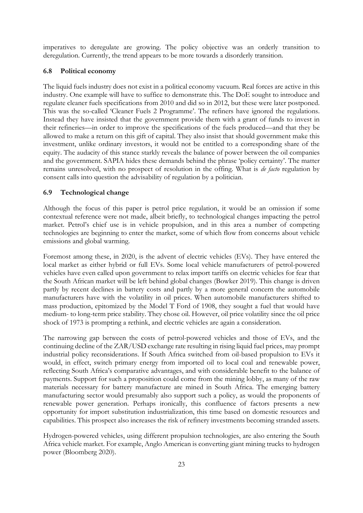imperatives to deregulate are growing. The policy objective was an orderly transition to deregulation. Currently, the trend appears to be more towards a disorderly transition.

#### **6.8 Political economy**

The liquid fuels industry does not exist in a political economy vacuum. Real forces are active in this industry. One example will have to suffice to demonstrate this. The DoE sought to introduce and regulate cleaner fuels specifications from 2010 and did so in 2012, but these were later postponed. This was the so-called 'Cleaner Fuels 2 Programme'. The refiners have ignored the regulations. Instead they have insisted that the government provide them with a grant of funds to invest in their refineries—in order to improve the specifications of the fuels produced—and that they be allowed to make a return on this gift of capital. They also insist that should government make this investment, unlike ordinary investors, it would not be entitled to a corresponding share of the equity. The audacity of this stance starkly reveals the balance of power between the oil companies and the government. SAPIA hides these demands behind the phrase 'policy certainty'. The matter remains unresolved, with no prospect of resolution in the offing. What is *de facto* regulation by consent calls into question the advisability of regulation by a politician.

#### **6.9 Technological change**

Although the focus of this paper is petrol price regulation, it would be an omission if some contextual reference were not made, albeit briefly, to technological changes impacting the petrol market. Petrol's chief use is in vehicle propulsion, and in this area a number of competing technologies are beginning to enter the market, some of which flow from concerns about vehicle emissions and global warming.

Foremost among these, in 2020, is the advent of electric vehicles (EVs). They have entered the local market as either hybrid or full EVs. Some local vehicle manufacturers of petrol-powered vehicles have even called upon government to relax import tariffs on electric vehicles for fear that the South African market will be left behind global changes (Bowker 2019). This change is driven partly by recent declines in battery costs and partly by a more general concern the automobile manufacturers have with the volatility in oil prices. When automobile manufacturers shifted to mass production, epitomized by the Model T Ford of 1908, they sought a fuel that would have medium- to long-term price stability. They chose oil. However, oil price volatility since the oil price shock of 1973 is prompting a rethink, and electric vehicles are again a consideration.

The narrowing gap between the costs of petrol-powered vehicles and those of EVs, and the continuing decline of the ZAR/USD exchange rate resulting in rising liquid fuel prices, may prompt industrial policy reconsiderations. If South Africa switched from oil-based propulsion to EVs it would, in effect, switch primary energy from imported oil to local coal and renewable power, reflecting South Africa's comparative advantages, and with considerable benefit to the balance of payments. Support for such a proposition could come from the mining lobby, as many of the raw materials necessary for battery manufacture are mined in South Africa. The emerging battery manufacturing sector would presumably also support such a policy, as would the proponents of renewable power generation. Perhaps ironically, this confluence of factors presents a new opportunity for import substitution industrialization, this time based on domestic resources and capabilities. This prospect also increases the risk of refinery investments becoming stranded assets.

Hydrogen-powered vehicles, using different propulsion technologies, are also entering the South Africa vehicle market. For example, Anglo American is converting giant mining trucks to hydrogen power (Bloomberg 2020).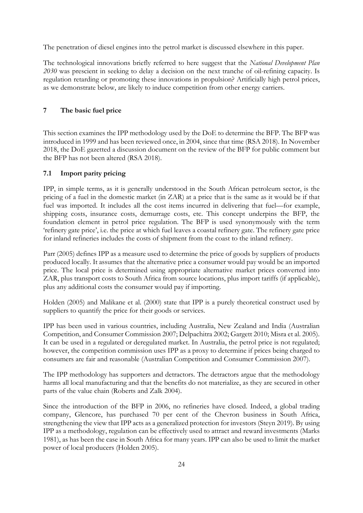The penetration of diesel engines into the petrol market is discussed elsewhere in this paper.

The technological innovations briefly referred to here suggest that the *National Development Plan 2030* was prescient in seeking to delay a decision on the next tranche of oil-refining capacity. Is regulation retarding or promoting these innovations in propulsion? Artificially high petrol prices, as we demonstrate below, are likely to induce competition from other energy carriers.

# **7 The basic fuel price**

This section examines the IPP methodology used by the DoE to determine the BFP. The BFP was introduced in 1999 and has been reviewed once, in 2004, since that time (RSA 2018). In November 2018, the DoE gazetted a discussion document on the review of the BFP for public comment but the BFP has not been altered (RSA 2018).

# **7.1 Import parity pricing**

IPP, in simple terms, as it is generally understood in the South African petroleum sector, is the pricing of a fuel in the domestic market (in ZAR) at a price that is the same as it would be if that fuel was imported. It includes all the cost items incurred in delivering that fuel—for example, shipping costs, insurance costs, demurrage costs, etc. This concept underpins the BFP, the foundation element in petrol price regulation. The BFP is used synonymously with the term 'refinery gate price', i.e. the price at which fuel leaves a coastal refinery gate. The refinery gate price for inland refineries includes the costs of shipment from the coast to the inland refinery.

Parr (2005) defines IPP as a measure used to determine the price of goods by suppliers of products produced locally. It assumes that the alternative price a consumer would pay would be an imported price. The local price is determined using appropriate alternative market prices converted into ZAR, plus transport costs to South Africa from source locations, plus import tariffs (if applicable), plus any additional costs the consumer would pay if importing.

Holden (2005) and Malikane et al. (2000) state that IPP is a purely theoretical construct used by suppliers to quantify the price for their goods or services.

IPP has been used in various countries, including Australia, New Zealand and India (Australian Competition, and Consumer Commission 2007; Delpachitra 2002; Gargett 2010; Misra et al. 2005). It can be used in a regulated or deregulated market. In Australia, the petrol price is not regulated; however, the competition commission uses IPP as a proxy to determine if prices being charged to consumers are fair and reasonable (Australian Competition and Consumer Commission 2007).

The IPP methodology has supporters and detractors. The detractors argue that the methodology harms all local manufacturing and that the benefits do not materialize, as they are secured in other parts of the value chain (Roberts and Zalk 2004).

Since the introduction of the BFP in 2006, no refineries have closed. Indeed, a global trading company, Glencore, has purchased 70 per cent of the Chevron business in South Africa, strengthening the view that IPP acts as a generalized protection for investors (Steyn 2019). By using IPP as a methodology, regulation can be effectively used to attract and reward investments (Marks 1981), as has been the case in South Africa for many years. IPP can also be used to limit the market power of local producers (Holden 2005).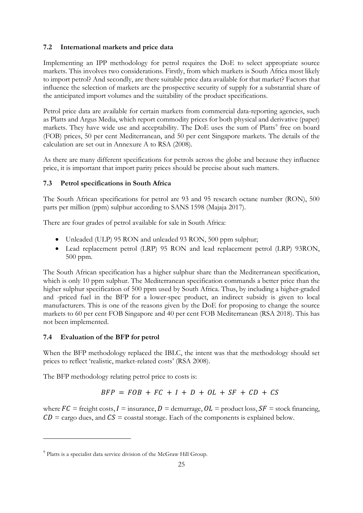# **7.2 International markets and price data**

Implementing an IPP methodology for petrol requires the DoE to select appropriate source markets. This involves two considerations. Firstly, from which markets is South Africa most likely to import petrol? And secondly, are there suitable price data available for that market? Factors that influence the selection of markets are the prospective security of supply for a substantial share of the anticipated import volumes and the suitability of the product specifications.

Petrol price data are available for certain markets from commercial data-reporting agencies, such as Platts and Argus Media, which report commodity prices for both physical and derivative (paper) markets. They have wide use and acceptability. The DoE uses the sum of Platts<sup>[9](#page-26-0)</sup> free on board (FOB) prices, 50 per cent Mediterranean, and 50 per cent Singapore markets. The details of the calculation are set out in Annexure A to RSA (2008).

As there are many different specifications for petrols across the globe and because they influence price, it is important that import parity prices should be precise about such matters.

# **7.3 Petrol specifications in South Africa**

The South African specifications for petrol are 93 and 95 research octane number (RON), 500 parts per million (ppm) sulphur according to SANS 1598 (Majaja 2017).

There are four grades of petrol available for sale in South Africa:

- Unleaded (ULP) 95 RON and unleaded 93 RON, 500 ppm sulphur;
- Lead replacement petrol (LRP) 95 RON and lead replacement petrol (LRP) 93RON, 500 ppm.

The South African specification has a higher sulphur share than the Mediterranean specification, which is only 10 ppm sulphur. The Mediterranean specification commands a better price than the higher sulphur specification of 500 ppm used by South Africa. Thus, by including a higher-graded and -priced fuel in the BFP for a lower-spec product, an indirect subsidy is given to local manufacturers. This is one of the reasons given by the DoE for proposing to change the source markets to 60 per cent FOB Singapore and 40 per cent FOB Mediterranean (RSA 2018). This has not been implemented.

# **7.4 Evaluation of the BFP for petrol**

When the BFP methodology replaced the IBLC, the intent was that the methodology should set prices to reflect 'realistic, market-related costs' (RSA 2008).

The BFP methodology relating petrol price to costs is:

$$
BFP = FOB + FC + I + D + OL + SF + CD + CS
$$

where  $FC$  = freight costs,  $I$  = insurance,  $D$  = demurrage,  $OL$  = product loss,  $SF$  = stock financing,  $CD = \text{cargo}$  dues, and  $CS = \text{coastal storage}$ . Each of the components is explained below.

<span id="page-26-0"></span><sup>&</sup>lt;sup>9</sup> Platts is a specialist data service division of the McGraw Hill Group.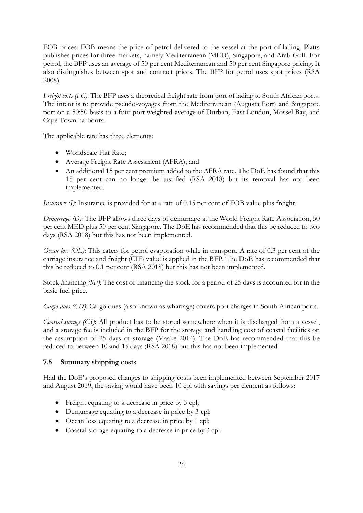FOB prices: FOB means the price of petrol delivered to the vessel at the port of lading. Platts publishes prices for three markets, namely Mediterranean (MED), Singapore, and Arab Gulf. For petrol, the BFP uses an average of 50 per cent Mediterranean and 50 per cent Singapore pricing. It also distinguishes between spot and contract prices. The BFP for petrol uses spot prices (RSA 2008).

*Freight costs (FC)*: The BFP uses a theoretical freight rate from port of lading to South African ports. The intent is to provide pseudo-voyages from the Mediterranean (Augusta Port) and Singapore port on a 50:50 basis to a four-port weighted average of Durban, East London, Mossel Bay, and Cape Town harbours.

The applicable rate has three elements:

- Worldscale Flat Rate;
- Average Freight Rate Assessment (AFRA); and
- An additional 15 per cent premium added to the AFRA rate. The DoE has found that this 15 per cent can no longer be justified (RSA 2018) but its removal has not been implemented.

*Insurance (I)*: Insurance is provided for at a rate of 0.15 per cent of FOB value plus freight.

*Demurrage (D)*: The BFP allows three days of demurrage at the World Freight Rate Association, 50 per cent MED plus 50 per cent Singapore. The DoE has recommended that this be reduced to two days (RSA 2018) but this has not been implemented.

*Ocean loss (OL)*: This caters for petrol evaporation while in transport. A rate of 0.3 per cent of the carriage insurance and freight (CIF) value is applied in the BFP. The DoE has recommended that this be reduced to 0.1 per cent (RSA 2018) but this has not been implemented.

Stock *f*inancing *(SF)*: The cost of financing the stock for a period of 25 days is accounted for in the basic fuel price.

*Cargo dues (CD)*: Cargo dues (also known as wharfage) covers port charges in South African ports.

*Coastal storage (CS)*: All product has to be stored somewhere when it is discharged from a vessel, and a storage fee is included in the BFP for the storage and handling cost of coastal facilities on the assumption of 25 days of storage (Maake 2014). The DoE has recommended that this be reduced to between 10 and 15 days (RSA 2018) but this has not been implemented.

# **7.5 Summary shipping costs**

Had the DoE's proposed changes to shipping costs been implemented between September 2017 and August 2019, the saving would have been 10 cpl with savings per element as follows:

- Freight equating to a decrease in price by 3 cpl;
- Demurrage equating to a decrease in price by 3 cpl;
- Ocean loss equating to a decrease in price by 1 cpl;
- Coastal storage equating to a decrease in price by 3 cpl.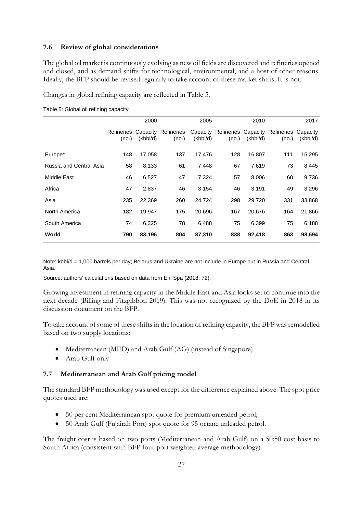### **7.6 Review of global considerations**

The global oil market is continuously evolving as new oil fields are discovered and refineries opened and closed, and as demand shifts for technological, environmental, and a host of other reasons. Ideally, the BFP should be revised regularly to take account of these market shifts. It is not.

Changes in global refining capacity are reflected in [Table 5.](#page-28-0)

|                         |                     | 2000     |                              | 2005     |                                                           | 2010     |       | 2017     |
|-------------------------|---------------------|----------|------------------------------|----------|-----------------------------------------------------------|----------|-------|----------|
|                         | Refineries<br>(no.) | (kbbl/d) | Capacity Refineries<br>(no.) | (kbbI/d) | Capacity Refineries Capacity Refineries Capacity<br>(no.) | (kbbl/d) | (no.) | (kbbl/d) |
| Europe*                 | 148                 | 17,058   | 137                          | 17,476   | 128                                                       | 16,807   | 111   | 15,295   |
| Russia and Central Asia | 58                  | 8,133    | 61                           | 7,448    | 67                                                        | 7,619    | 73    | 8,445    |
| Middle East             | 46                  | 6,527    | 47                           | 7,324    | 57                                                        | 8,006    | 60    | 9,736    |
| Africa                  | 47                  | 2,837    | 46                           | 3,154    | 46                                                        | 3,191    | 49    | 3,296    |
| Asia                    | 235                 | 22,369   | 260                          | 24,724   | 298                                                       | 29,720   | 331   | 33,868   |
| North America           | 182                 | 19,947   | 175                          | 20,696   | 167                                                       | 20,676   | 164   | 21,866   |
| South America           | 74                  | 6,325    | 78                           | 6,488    | 75                                                        | 6,399    | 75    | 6,188    |
| World                   | 790                 | 83,196   | 804                          | 87,310   | 838                                                       | 92,418   | 863   | 98,694   |

<span id="page-28-0"></span>Table 5: Global oil refining capacity

Note: kbbl/d = 1,000 barrels per day; Belarus and Ukraine are not include in Europe but in Russia and Central Asia.

Source: authors' calculations based on data from Eni Spa (2018: 72).

Growing investment in refining capacity in the Middle East and Asia looks set to continue into the next decade (Billing and Fitzgibbon 2019). This was not recognized by the DoE in 2018 in its discussion document on the BFP.

To take account of some of these shifts in the location of refining capacity, the BFP was remodelled based on two supply locations:

- Mediterranean (MED) and Arab Gulf (AG) (instead of Singapore)
- Arab Gulf only

# **7.7 Mediterranean and Arab Gulf pricing model**

The standard BFP methodology was used except for the difference explained above. The spot price quotes used are:

- 50 per cent Mediterranean spot quote for premium unleaded petrol;
- 50 Arab Gulf (Fujairah Port) spot quote for 95 octane unleaded petrol.

The freight cost is based on two ports (Mediterranean and Arab Gulf) on a 50:50 cost basis to South Africa (consistent with BFP four-port weighted average methodology).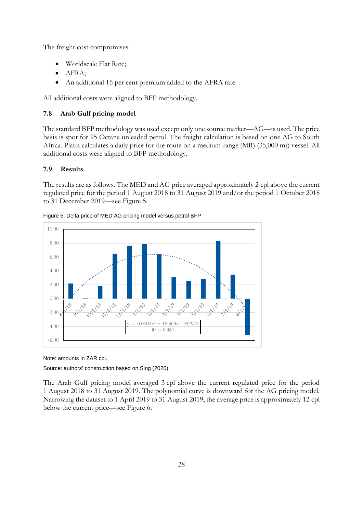The freight cost compromises:

- Worldscale Flat Rate;
- AFRA;
- An additional 15 per cent premium added to the AFRA rate.

All additional costs were aligned to BFP methodology.

# **7.8 Arab Gulf pricing model**

The standard BFP methodology was used except only one source market—AG—is used. The price basis is spot for 95 Octane unleaded petrol. The freight calculation is based on one AG to South Africa. Platts calculates a daily price for the route on a medium-range (MR) (35,000 mt) vessel. All additional costs were aligned to BFP methodology.

# **7.9 Results**

The results are as follows. The MED and AG price averaged approximately 2 cpl above the current regulated price for the period 1 August 2018 to 31 August 2019 and/or the period 1 October 2018 to 31 December 2019—see [Figure 5.](#page-29-0)



<span id="page-29-0"></span>Figure 5: Delta price of MED AG pricing model versus petrol BFP

Note: amounts in ZAR cpl.

Source: authors' construction based on Sing (2020).

The Arab Gulf pricing model averaged 3 cpl above the current regulated price for the period 1 August 2018 to 31 August 2019. The polynomial curve is downward for the AG pricing model. Narrowing the dataset to 1 April 2019 to 31 August 2019, the average price is approximately 12 cpl below the current price—see [Figure 6.](#page-30-0)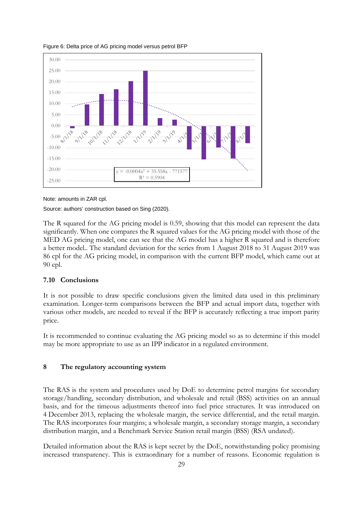

<span id="page-30-0"></span>Figure 6: Delta price of AG pricing model versus petrol BFP

Source: authors' construction based on Sing (2020).

The R squared for the AG pricing model is 0.59, showing that this model can represent the data significantly. When one compares the R squared values for the AG pricing model with those of the MED AG pricing model, one can see that the AG model has a higher R squared and is therefore a better model.. The standard deviation for the series from 1 August 2018 to 31 August 2019 was 86 cpl for the AG pricing model, in comparison with the current BFP model, which came out at 90 cpl.

#### **7.10 Conclusions**

It is not possible to draw specific conclusions given the limited data used in this preliminary examination. Longer-term comparisons between the BFP and actual import data, together with various other models, are needed to reveal if the BFP is accurately reflecting a true import parity price.

It is recommended to continue evaluating the AG pricing model so as to determine if this model may be more appropriate to use as an IPP indicator in a regulated environment.

#### **8 The regulatory accounting system**

The RAS is the system and procedures used by DoE to determine petrol margins for secondary storage/handling, secondary distribution, and wholesale and retail (BSS) activities on an annual basis, and for the timeous adjustments thereof into fuel price structures. It was introduced on 4 December 2013, replacing the wholesale margin, the service differential, and the retail margin. The RAS incorporates four margins; a wholesale margin, a secondary storage margin, a secondary distribution margin, and a Benchmark Service Station retail margin (BSS) (RSA undated).

Detailed information about the RAS is kept secret by the DoE, notwithstanding policy promising increased transparency. This is extraordinary for a number of reasons. Economic regulation is

Note: amounts in ZAR cpl.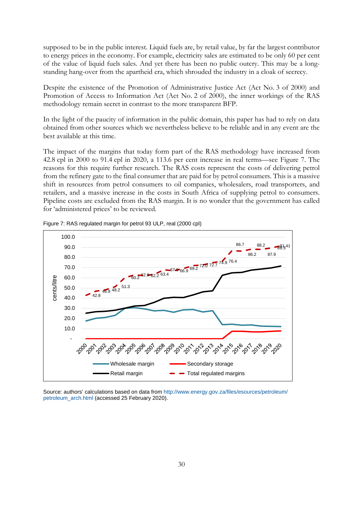supposed to be in the public interest. Liquid fuels are, by retail value, by far the largest contributor to energy prices in the economy. For example, electricity sales are estimated to be only 60 per cent of the value of liquid fuels sales. And yet there has been no public outcry. This may be a longstanding hang-over from the apartheid era, which shrouded the industry in a cloak of secrecy.

Despite the existence of the Promotion of Administrative Justice Act (Act No. 3 of 2000) and Promotion of Access to Information Act (Act No. 2 of 2000), the inner workings of the RAS methodology remain secret in contrast to the more transparent BFP.

In the light of the paucity of information in the public domain, this paper has had to rely on data obtained from other sources which we nevertheless believe to be reliable and in any event are the best available at this time.

The impact of the margins that today form part of the RAS methodology have increased from 42.8 cpl in 2000 to 91.4 cpl in 2020, a 113.6 per cent increase in real terms—see [Figure 7.](#page-31-0) The reasons for this require further research. The RAS costs represent the costs of delivering petrol from the refinery gate to the final consumer that are paid for by petrol consumers. This is a massive shift in resources from petrol consumers to oil companies, wholesalers, road transporters, and retailers, and a massive increase in the costs in South Africa of supplying petrol to consumers. Pipeline costs are excluded from the RAS margin. It is no wonder that the government has called for 'administered prices' to be reviewed.



<span id="page-31-0"></span>Figure 7: RAS regulated margin for petrol 93 ULP, real (2000 cpl)

Source: authors' calculations based on data fro[m http://www.energy.gov.za/files/esources/petroleum/](http://www.energy.gov.za/files/esources/petroleum/%0bpetroleum_arch.html) [petroleum\\_arch.html](http://www.energy.gov.za/files/esources/petroleum/%0bpetroleum_arch.html) (accessed 25 February 2020).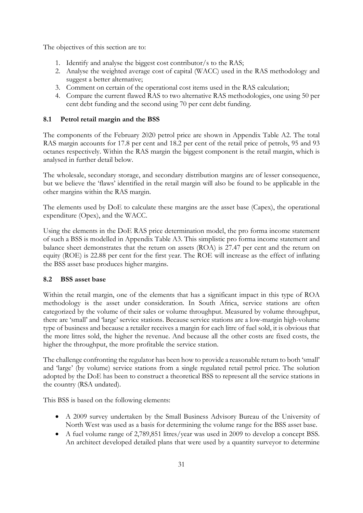The objectives of this section are to:

- 1. Identify and analyse the biggest cost contributor/s to the RAS;
- 2. Analyse the weighted average cost of capital (WACC) used in the RAS methodology and suggest a better alternative;
- 3. Comment on certain of the operational cost items used in the RAS calculation;
- 4. Compare the current flawed RAS to two alternative RAS methodologies, one using 50 per cent debt funding and the second using 70 per cent debt funding.

# **8.1 Petrol retail margin and the BSS**

The components of the February 2020 petrol price are shown in Appendix Table A2. The total RAS margin accounts for 17.8 per cent and 18.2 per cent of the retail price of petrols, 95 and 93 octanes respectively. Within the RAS margin the biggest component is the retail margin, which is analysed in further detail below.

The wholesale, secondary storage, and secondary distribution margins are of lesser consequence, but we believe the 'flaws' identified in the retail margin will also be found to be applicable in the other margins within the RAS margin.

The elements used by DoE to calculate these margins are the asset base (Capex), the operational expenditure (Opex), and the WACC.

Using the elements in the DoE RAS price determination model, the pro forma income statement of such a BSS is modelled in Appendix Table A3. This simplistic pro forma income statement and balance sheet demonstrates that the return on assets (ROA) is 27.47 per cent and the return on equity (ROE) is 22.88 per cent for the first year. The ROE will increase as the effect of inflating the BSS asset base produces higher margins.

# **8.2 BSS asset base**

Within the retail margin, one of the elements that has a significant impact in this type of ROA methodology is the asset under consideration. In South Africa, service stations are often categorized by the volume of their sales or volume throughput. Measured by volume throughput, there are 'small' and 'large' service stations. Because service stations are a low-margin high-volume type of business and because a retailer receives a margin for each litre of fuel sold, it is obvious that the more litres sold, the higher the revenue. And because all the other costs are fixed costs, the higher the throughput, the more profitable the service station.

The challenge confronting the regulator has been how to provide a reasonable return to both 'small' and 'large' (by volume) service stations from a single regulated retail petrol price. The solution adopted by the DoE has been to construct a theoretical BSS to represent all the service stations in the country (RSA undated).

This BSS is based on the following elements:

- A 2009 survey undertaken by the Small Business Advisory Bureau of the University of North West was used as a basis for determining the volume range for the BSS asset base.
- A fuel volume range of 2,789,851 litres/year was used in 2009 to develop a concept BSS. An architect developed detailed plans that were used by a quantity surveyor to determine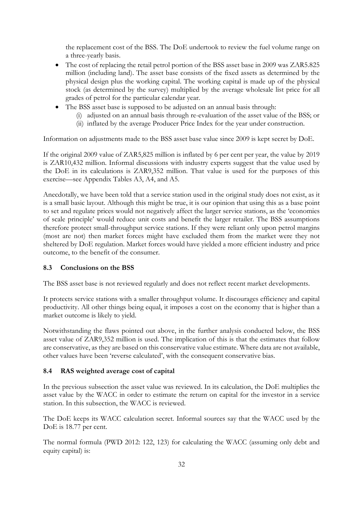the replacement cost of the BSS. The DoE undertook to review the fuel volume range on a three-yearly basis.

- The cost of replacing the retail petrol portion of the BSS asset base in 2009 was ZAR5.825 million (including land). The asset base consists of the fixed assets as determined by the physical design plus the working capital. The working capital is made up of the physical stock (as determined by the survey) multiplied by the average wholesale list price for all grades of petrol for the particular calendar year.
- The BSS asset base is supposed to be adjusted on an annual basis through:
	- (i) adjusted on an annual basis through re-evaluation of the asset value of the BSS; or
	- (ii) inflated by the average Producer Price Index for the year under construction.

Information on adjustments made to the BSS asset base value since 2009 is kept secret by DoE.

If the original 2009 value of ZAR5,825 million is inflated by 6 per cent per year, the value by 2019 is ZAR10,432 million. Informal discussions with industry experts suggest that the value used by the DoE in its calculations is ZAR9,352 million. That value is used for the purposes of this exercise—see Appendix Tables A3, A4, and A5.

Anecdotally, we have been told that a service station used in the original study does not exist, as it is a small basic layout. Although this might be true, it is our opinion that using this as a base point to set and regulate prices would not negatively affect the larger service stations, as the 'economies of scale principle' would reduce unit costs and benefit the larger retailer. The BSS assumptions therefore protect small-throughput service stations. If they were reliant only upon petrol margins (most are not) then market forces might have excluded them from the market were they not sheltered by DoE regulation. Market forces would have yielded a more efficient industry and price outcome, to the benefit of the consumer.

# **8.3 Conclusions on the BSS**

The BSS asset base is not reviewed regularly and does not reflect recent market developments.

It protects service stations with a smaller throughput volume. It discourages efficiency and capital productivity. All other things being equal, it imposes a cost on the economy that is higher than a market outcome is likely to yield.

Notwithstanding the flaws pointed out above, in the further analysis conducted below, the BSS asset value of ZAR9,352 million is used. The implication of this is that the estimates that follow are conservative, as they are based on this conservative value estimate. Where data are not available, other values have been 'reverse calculated', with the consequent conservative bias.

# **8.4 RAS weighted average cost of capital**

In the previous subsection the asset value was reviewed. In its calculation, the DoE multiplies the asset value by the WACC in order to estimate the return on capital for the investor in a service station. In this subsection, the WACC is reviewed.

The DoE keeps its WACC calculation secret. Informal sources say that the WACC used by the DoE is 18.77 per cent.

The normal formula (PWD 2012: 122, 123) for calculating the WACC (assuming only debt and equity capital) is: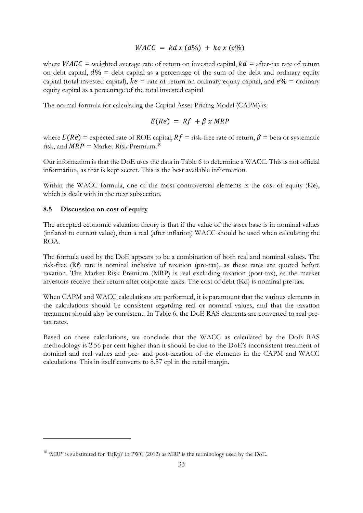# $WACC = kd x (d\%) + ke x (e\%)$

where  $WACC =$  weighted average rate of return on invested capital,  $kd =$  after-tax rate of return on debt capital,  $d\%$  = debt capital as a percentage of the sum of the debt and ordinary equity capital (total invested capital),  $ke =$  rate of return on ordinary equity capital, and  $e% =$  ordinary equity capital as a percentage of the total invested capital

The normal formula for calculating the Capital Asset Pricing Model (CAPM) is:

$$
E(Re) = Rf + \beta x \, MRP
$$

where  $E(Re)$  = expected rate of ROE capital,  $Rf$  = risk-free rate of return,  $\beta$  = beta or systematic risk, and  $MRP = \text{Market Risk premium.}^{10}$  $MRP = \text{Market Risk premium.}^{10}$  $MRP = \text{Market Risk premium.}^{10}$ 

Our information is that the DoE uses the data i[n Table 6](#page-35-0) to determine a WACC. This is not official information, as that is kept secret. This is the best available information.

Within the WACC formula, one of the most controversial elements is the cost of equity (Ke), which is dealt with in the next subsection.

#### **8.5 Discussion on cost of equity**

The accepted economic valuation theory is that if the value of the asset base is in nominal values (inflated to current value), then a real (after inflation) WACC should be used when calculating the ROA.

The formula used by the DoE appears to be a combination of both real and nominal values. The risk-free (Rf) rate is nominal inclusive of taxation (pre-tax), as these rates are quoted before taxation. The Market Risk Premium (MRP) is real excluding taxation (post-tax), as the market investors receive their return after corporate taxes. The cost of debt (Kd) is nominal pre-tax.

When CAPM and WACC calculations are performed, it is paramount that the various elements in the calculations should be consistent regarding real or nominal values, and that the taxation treatment should also be consistent. In [Table 6,](#page-35-0) the DoE RAS elements are converted to real pretax rates.

Based on these calculations, we conclude that the WACC as calculated by the DoE RAS methodology is 2.56 per cent higher than it should be due to the DoE's inconsistent treatment of nominal and real values and pre- and post-taxation of the elements in the CAPM and WACC calculations. This in itself converts to 8.57 cpl in the retail margin.

<span id="page-34-0"></span><sup>&</sup>lt;sup>10</sup> 'MRP' is substituted for 'E(Rp)' in PWC (2012) as MRP is the terminology used by the DoE.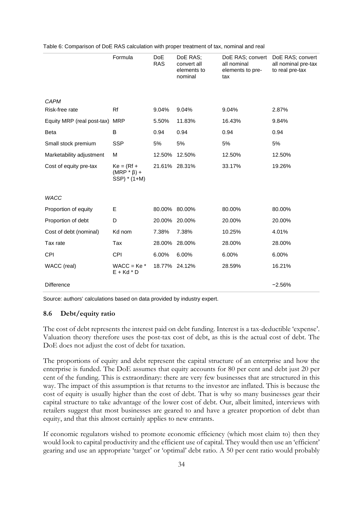|                            | Formula                                           | <b>DoE</b><br><b>RAS</b> | DoE RAS;<br>convert all<br>elements to<br>nominal | DoE RAS; convert<br>all nominal<br>elements to pre-<br>tax | DoE RAS; convert<br>all nominal pre-tax<br>to real pre-tax |
|----------------------------|---------------------------------------------------|--------------------------|---------------------------------------------------|------------------------------------------------------------|------------------------------------------------------------|
| <b>CAPM</b>                |                                                   |                          |                                                   |                                                            |                                                            |
| Risk-free rate             | Rf                                                | 9.04%                    | 9.04%                                             | 9.04%                                                      | 2.87%                                                      |
| Equity MRP (real post-tax) | <b>MRP</b>                                        | 5.50%                    | 11.83%                                            | 16.43%                                                     | 9.84%                                                      |
| <b>Beta</b>                | В                                                 | 0.94                     | 0.94                                              | 0.94                                                       | 0.94                                                       |
| Small stock premium        | <b>SSP</b>                                        | 5%                       | 5%                                                | 5%                                                         | 5%                                                         |
| Marketability adjustment   | М                                                 | 12.50%                   | 12.50%                                            | 12.50%                                                     | 12.50%                                                     |
| Cost of equity pre-tax     | $Ke = (Rf +$<br>$(MRP * \beta) +$<br>SSP) * (1+M) | 21.61% 28.31%            |                                                   | 33.17%                                                     | 19.26%                                                     |
| <b>WACC</b>                |                                                   |                          |                                                   |                                                            |                                                            |
| Proportion of equity       | E                                                 | 80.00% 80.00%            |                                                   | 80.00%                                                     | 80.00%                                                     |
| Proportion of debt         | D                                                 | 20.00% 20.00%            |                                                   | 20.00%                                                     | 20.00%                                                     |
| Cost of debt (nominal)     | Kd nom                                            | 7.38%                    | 7.38%                                             | 10.25%                                                     | 4.01%                                                      |
| Tax rate                   | Tax                                               | 28.00% 28.00%            |                                                   | 28.00%                                                     | 28.00%                                                     |
| <b>CPI</b>                 | <b>CPI</b>                                        | 6.00%                    | 6.00%                                             | 6.00%                                                      | 6.00%                                                      |
| WACC (real)                | $WACC = Ke^*$<br>$E + Kd * D$                     | 18.77% 24.12%            |                                                   | 28.59%                                                     | 16.21%                                                     |
| <b>Difference</b>          |                                                   |                          |                                                   |                                                            | $-2.56%$                                                   |

<span id="page-35-0"></span>Table 6: Comparison of DoE RAS calculation with proper treatment of tax, nominal and real

Source: authors' calculations based on data provided by industry expert.

#### **8.6 Debt/equity ratio**

The cost of debt represents the interest paid on debt funding. Interest is a tax-deductible 'expense'. Valuation theory therefore uses the post-tax cost of debt, as this is the actual cost of debt. The DoE does not adjust the cost of debt for taxation.

The proportions of equity and debt represent the capital structure of an enterprise and how the enterprise is funded. The DoE assumes that equity accounts for 80 per cent and debt just 20 per cent of the funding. This is extraordinary: there are very few businesses that are structured in this way. The impact of this assumption is that returns to the investor are inflated. This is because the cost of equity is usually higher than the cost of debt. That is why so many businesses gear their capital structure to take advantage of the lower cost of debt. Our, albeit limited, interviews with retailers suggest that most businesses are geared to and have a greater proportion of debt than equity, and that this almost certainly applies to new entrants.

If economic regulators wished to promote economic efficiency (which most claim to) then they would look to capital productivity and the efficient use of capital. They would then use an 'efficient' gearing and use an appropriate 'target' or 'optimal' debt ratio. A 50 per cent ratio would probably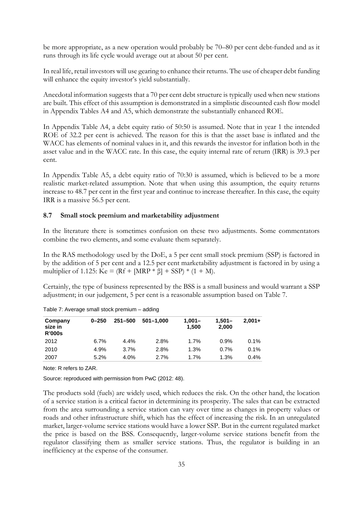be more appropriate, as a new operation would probably be 70–80 per cent debt-funded and as it runs through its life cycle would average out at about 50 per cent.

In real life, retail investors will use gearing to enhance their returns. The use of cheaper debt funding will enhance the equity investor's yield substantially.

Anecdotal information suggests that a 70 per cent debt structure is typically used when new stations are built. This effect of this assumption is demonstrated in a simplistic discounted cash flow model in Appendix Tables A4 and A5, which demonstrate the substantially enhanced ROE.

In Appendix Table A4, a debt equity ratio of 50:50 is assumed. Note that in year 1 the intended ROE of 32.2 per cent is achieved. The reason for this is that the asset base is inflated and the WACC has elements of nominal values in it, and this rewards the investor for inflation both in the asset value and in the WACC rate. In this case, the equity internal rate of return (IRR) is 39.3 per cent.

In Appendix Table A5, a debt equity ratio of 70:30 is assumed, which is believed to be a more realistic market-related assumption. Note that when using this assumption, the equity returns increase to 48.7 per cent in the first year and continue to increase thereafter. In this case, the equity IRR is a massive 56.5 per cent.

#### **8.7 Small stock premium and marketability adjustment**

In the literature there is sometimes confusion on these two adjustments. Some commentators combine the two elements, and some evaluate them separately.

In the RAS methodology used by the DoE, a 5 per cent small stock premium (SSP) is factored in by the addition of 5 per cent and a 12.5 per cent marketability adjustment is factored in by using a multiplier of 1.125: Ke =  $(Rf + |MRP * \beta] + SSP$   $*(1 + M)$ .

Certainly, the type of business represented by the BSS is a small business and would warrant a SSP adjustment; in our judgement, 5 per cent is a reasonable assumption based on [Table 7.](#page-36-0)

| Company<br>size in<br><b>R'000s</b> | $0 - 250$ | $251 - 500$ | $501 - 1.000$ | $1,001 -$<br>1.500 | $1.501 -$<br>2.000 | $2.001 +$ |
|-------------------------------------|-----------|-------------|---------------|--------------------|--------------------|-----------|
| 2012                                | 6.7%      | 4.4%        | 2.8%          | 1.7%               | 0.9%               | 0.1%      |
| 2010                                | 4.9%      | 3.7%        | 2.8%          | 1.3%               | 0.7%               | 0.1%      |
| 2007                                | 5.2%      | 4.0%        | 2.7%          | 1.7%               | 1.3%               | $0.4\%$   |

<span id="page-36-0"></span>Table 7: Average small stock premium – adding

Note: R refers to ZAR.

Source: reproduced with permission from PwC (2012: 48).

The products sold (fuels) are widely used, which reduces the risk. On the other hand, the location of a service station is a critical factor in determining its prosperity. The sales that can be extracted from the area surrounding a service station can vary over time as changes in property values or roads and other infrastructure shift, which has the effect of increasing the risk. In an unregulated market, larger-volume service stations would have a lower SSP. But in the current regulated market the price is based on the BSS. Consequently, larger-volume service stations benefit from the regulator classifying them as smaller service stations. Thus, the regulator is building in an inefficiency at the expense of the consumer.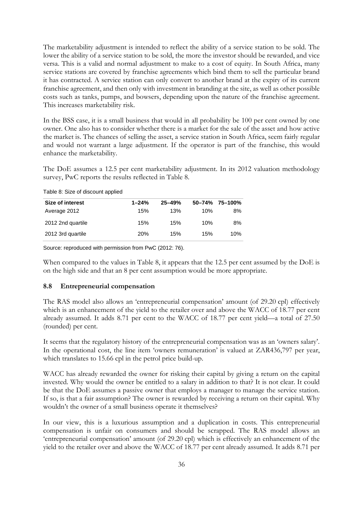The marketability adjustment is intended to reflect the ability of a service station to be sold. The lower the ability of a service station to be sold, the more the investor should be rewarded, and vice versa. This is a valid and normal adjustment to make to a cost of equity. In South Africa, many service stations are covered by franchise agreements which bind them to sell the particular brand it has contracted. A service station can only convert to another brand at the expiry of its current franchise agreement, and then only with investment in branding at the site, as well as other possible costs such as tanks, pumps, and bowsers, depending upon the nature of the franchise agreement. This increases marketability risk.

In the BSS case, it is a small business that would in all probability be 100 per cent owned by one owner. One also has to consider whether there is a market for the sale of the asset and how active the market is. The chances of selling the asset, a service station in South Africa, seem fairly regular and would not warrant a large adjustment. If the operator is part of the franchise, this would enhance the marketability.

The DoE assumes a 12.5 per cent marketability adjustment. In its 2012 valuation methodology survey, PwC reports the results reflected in [Table 8.](#page-37-0)

<span id="page-37-0"></span>Table 8: Size of discount applied

| Size of interest  | $1 - 24%$  | $25 - 49%$ |     | $50 - 74\%$ 75-100% |
|-------------------|------------|------------|-----|---------------------|
| Average 2012      | 15%        | 13%        | 10% | 8%                  |
| 2012 2nd quartile | 15%        | 15%        | 10% | 8%                  |
| 2012 3rd quartile | <b>20%</b> | 15%        | 15% | 10%                 |

Source: reproduced with permission from PwC (2012: 76).

When compared to the values in [Table 8,](#page-37-0) it appears that the 12.5 per cent assumed by the DoE is on the high side and that an 8 per cent assumption would be more appropriate.

#### **8.8 Entrepreneurial compensation**

The RAS model also allows an 'entrepreneurial compensation' amount (of 29.20 cpl) effectively which is an enhancement of the yield to the retailer over and above the WACC of 18.77 per cent already assumed. It adds 8.71 per cent to the WACC of 18.77 per cent yield—a total of 27.50 (rounded) per cent.

It seems that the regulatory history of the entrepreneurial compensation was as an 'owners salary'. In the operational cost, the line item 'owners remuneration' is valued at ZAR436,797 per year, which translates to 15.66 cpl in the petrol price build-up.

WACC has already rewarded the owner for risking their capital by giving a return on the capital invested. Why would the owner be entitled to a salary in addition to that? It is not clear. It could be that the DoE assumes a passive owner that employs a manager to manage the service station. If so, is that a fair assumption? The owner is rewarded by receiving a return on their capital. Why wouldn't the owner of a small business operate it themselves?

In our view, this is a luxurious assumption and a duplication in costs. This entrepreneurial compensation is unfair on consumers and should be scrapped. The RAS model allows an 'entrepreneurial compensation' amount (of 29.20 cpl) which is effectively an enhancement of the yield to the retailer over and above the WACC of 18.77 per cent already assumed. It adds 8.71 per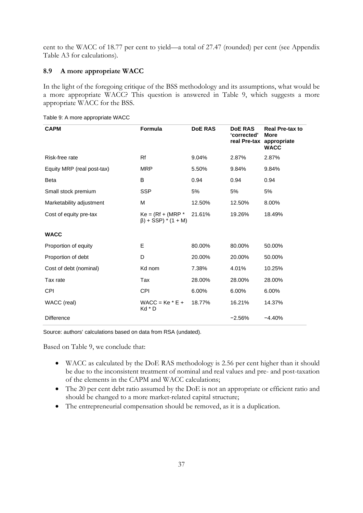cent to the WACC of 18.77 per cent to yield—a total of 27.47 (rounded) per cent (see Appendix Table A3 for calculations).

### **8.9 A more appropriate WACC**

In the light of the foregoing critique of the BSS methodology and its assumptions, what would be a more appropriate WACC? This question is answered in [Table 9,](#page-38-0) which suggests a more appropriate WACC for the BSS.

| <b>CAPM</b>                | <b>Formula</b>                                     | <b>DoE RAS</b> | <b>DoE RAS</b><br>'corrected'<br>real Pre-tax appropriate | <b>Real Pre-tax to</b><br><b>More</b><br><b>WACC</b> |
|----------------------------|----------------------------------------------------|----------------|-----------------------------------------------------------|------------------------------------------------------|
| Risk-free rate             | Rf                                                 | 9.04%          | 2.87%                                                     | 2.87%                                                |
| Equity MRP (real post-tax) | <b>MRP</b>                                         | 5.50%          | 9.84%                                                     | 9.84%                                                |
| <b>Beta</b>                | B                                                  | 0.94           | 0.94                                                      | 0.94                                                 |
| Small stock premium        | <b>SSP</b>                                         | 5%             | 5%                                                        | 5%                                                   |
| Marketability adjustment   | М                                                  | 12.50%         | 12.50%                                                    | 8.00%                                                |
| Cost of equity pre-tax     | $Ke = (Rf + (MRP^*)$<br>$\beta$ ) + SSP) * (1 + M) | 21.61%         | 19.26%                                                    | 18.49%                                               |
| <b>WACC</b>                |                                                    |                |                                                           |                                                      |
| Proportion of equity       | E                                                  | 80.00%         | 80.00%                                                    | 50.00%                                               |
| Proportion of debt         | D                                                  | 20.00%         | 20.00%                                                    | 50.00%                                               |
| Cost of debt (nominal)     | Kd nom                                             | 7.38%          | 4.01%                                                     | 10.25%                                               |
| Tax rate                   | Tax                                                | 28.00%         | 28.00%                                                    | 28.00%                                               |
| <b>CPI</b>                 | <b>CPI</b>                                         | 6.00%          | 6.00%                                                     | 6.00%                                                |
| WACC (real)                | $WACC = Ke * E +$<br>Kd * D                        | 18.77%         | 16.21%                                                    | 14.37%                                               |
| <b>Difference</b>          |                                                    |                | $-2.56%$                                                  | $-4.40%$                                             |

<span id="page-38-0"></span>Table 9: A more appropriate WACC

Source: authors' calculations based on data from RSA (undated).

Based on [Table 9,](#page-38-0) we conclude that:

- WACC as calculated by the DoE RAS methodology is 2.56 per cent higher than it should be due to the inconsistent treatment of nominal and real values and pre- and post-taxation of the elements in the CAPM and WACC calculations;
- The 20 per cent debt ratio assumed by the DoE is not an appropriate or efficient ratio and should be changed to a more market-related capital structure;
- The entrepreneurial compensation should be removed, as it is a duplication.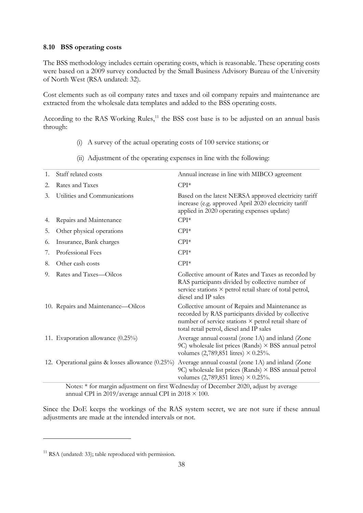#### **8.10 BSS operating costs**

The BSS methodology includes certain operating costs, which is reasonable. These operating costs were based on a 2009 survey conducted by the Small Business Advisory Bureau of the University of North West (RSA undated: 32).

Cost elements such as oil company rates and taxes and oil company repairs and maintenance are extracted from the wholesale data templates and added to the BSS operating costs.

According to the RAS Working Rules,<sup>[11](#page-39-0)</sup> the BSS cost base is to be adjusted on an annual basis through:

- (i) A survey of the actual operating costs of 100 service stations; or
- (ii) Adjustment of the operating expenses in line with the following:

| 1. | Staff related costs                              | Annual increase in line with MIBCO agreement                                                                                                                                                             |
|----|--------------------------------------------------|----------------------------------------------------------------------------------------------------------------------------------------------------------------------------------------------------------|
| 2. | Rates and Taxes                                  | $CPI*$                                                                                                                                                                                                   |
| 3. | Utilities and Communications                     | Based on the latest NERSA approved electricity tariff<br>increase (e.g. approved April 2020 electricity tariff<br>applied in 2020 operating expenses update)                                             |
| 4. | Repairs and Maintenance                          | $CPI*$                                                                                                                                                                                                   |
| 5. | Other physical operations                        | $CPI*$                                                                                                                                                                                                   |
| 6. | Insurance, Bank charges                          | $CPI*$                                                                                                                                                                                                   |
| 7. | Professional Fees                                | $CPI*$                                                                                                                                                                                                   |
| 8. | Other cash costs                                 | $CPI*$                                                                                                                                                                                                   |
| 9. | Rates and Taxes-Oilcos                           | Collective amount of Rates and Taxes as recorded by<br>RAS participants divided by collective number of<br>service stations × petrol retail share of total petrol,<br>diesel and IP sales                |
|    | 10. Repairs and Maintenance—Oilcos               | Collective amount of Repairs and Maintenance as<br>recorded by RAS participants divided by collective<br>number of service stations × petrol retail share of<br>total retail petrol, diesel and IP sales |
|    | 11. Evaporation allowance (0.25%)                | Average annual coastal (zone 1A) and inland (Zone<br>9C) wholesale list prices (Rands) $\times$ BSS annual petrol<br>volumes $(2,789,851 \text{ litres}) \times 0.25\%$ .                                |
|    | 12. Operational gains & losses allowance (0.25%) | Average annual coastal (zone 1A) and inland (Zone<br>9C) wholesale list prices (Rands) × BSS annual petrol<br>volumes (2,789,851 litres) $\times$ 0.25%.                                                 |
|    |                                                  | Notes: * for mercin adjustment on first Wednesday of December 2020, adjust by excreçes                                                                                                                   |

Notes: \* for margin adjustment on first Wednesday of December 2020, adjust by average annual CPI in 2019/average annual CPI in 2018  $\times$  100.

Since the DoE keeps the workings of the RAS system secret, we are not sure if these annual adjustments are made at the intended intervals or not.

<span id="page-39-0"></span> $11$  RSA (undated: 33); table reproduced with permission.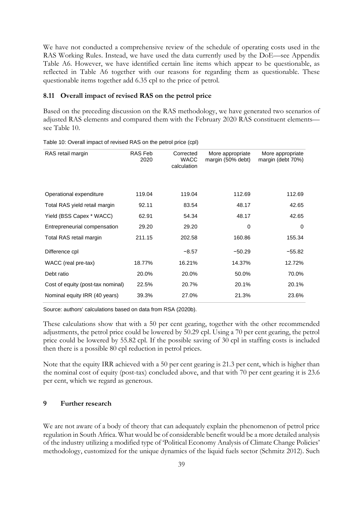We have not conducted a comprehensive review of the schedule of operating costs used in the RAS Working Rules. Instead, we have used the data currently used by the DoE—see Appendix Table A6. However, we have identified certain line items which appear to be questionable, as reflected in Table A6 together with our reasons for regarding them as questionable. These questionable items together add 6.35 cpl to the price of petrol.

#### **8.11 Overall impact of revised RAS on the petrol price**

Based on the preceding discussion on the RAS methodology, we have generated two scenarios of adjusted RAS elements and compared them with the February 2020 RAS constituent elements see [Table 10.](#page-40-0)

| RAS retail margin                 | RAS Feb<br>2020 | Corrected<br><b>WACC</b><br>calculation | More appropriate<br>margin (50% debt) | More appropriate<br>margin (debt 70%) |
|-----------------------------------|-----------------|-----------------------------------------|---------------------------------------|---------------------------------------|
| Operational expenditure           | 119.04          | 119.04                                  | 112.69                                | 112.69                                |
| Total RAS yield retail margin     | 92.11           | 83.54                                   | 48.17                                 | 42.65                                 |
| Yield (BSS Capex * WACC)          | 62.91           | 54.34                                   | 48.17                                 | 42.65                                 |
| Entrepreneurial compensation      | 29.20           | 29.20                                   | $\mathbf 0$                           | $\Omega$                              |
| Total RAS retail margin           | 211.15          | 202.58                                  | 160.86                                | 155.34                                |
| Difference cpl                    |                 | $-8.57$                                 | $-50.29$                              | $-55.82$                              |
| WACC (real pre-tax)               | 18.77%          | 16.21%                                  | 14.37%                                | 12.72%                                |
| Debt ratio                        | 20.0%           | 20.0%                                   | 50.0%                                 | 70.0%                                 |
| Cost of equity (post-tax nominal) | 22.5%           | 20.7%                                   | 20.1%                                 | 20.1%                                 |
| Nominal equity IRR (40 years)     | 39.3%           | 27.0%                                   | 21.3%                                 | 23.6%                                 |

<span id="page-40-0"></span>Table 10: Overall impact of revised RAS on the petrol price (cpl)

Source: authors' calculations based on data from RSA (2020b).

These calculations show that with a 50 per cent gearing, together with the other recommended adjustments, the petrol price could be lowered by 50.29 cpl. Using a 70 per cent gearing, the petrol price could be lowered by 55.82 cpl. If the possible saving of 30 cpl in staffing costs is included then there is a possible 80 cpl reduction in petrol prices.

Note that the equity IRR achieved with a 50 per cent gearing is 21.3 per cent, which is higher than the nominal cost of equity (post-tax) concluded above, and that with 70 per cent gearing it is 23.6 per cent, which we regard as generous.

#### **9 Further research**

We are not aware of a body of theory that can adequately explain the phenomenon of petrol price regulation in South Africa. What would be of considerable benefit would be a more detailed analysis of the industry utilizing a modified type of 'Political Economy Analysis of Climate Change Policies' methodology, customized for the unique dynamics of the liquid fuels sector (Schmitz 2012). Such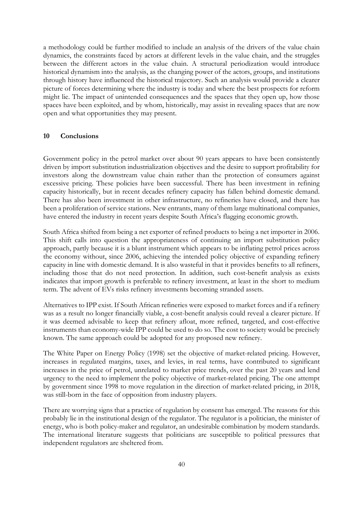a methodology could be further modified to include an analysis of the drivers of the value chain dynamics, the constraints faced by actors at different levels in the value chain, and the struggles between the different actors in the value chain. A structural periodization would introduce historical dynamism into the analysis, as the changing power of the actors, groups, and institutions through history have influenced the historical trajectory. Such an analysis would provide a clearer picture of forces determining where the industry is today and where the best prospects for reform might lie. The impact of unintended consequences and the spaces that they open up, how those spaces have been exploited, and by whom, historically, may assist in revealing spaces that are now open and what opportunities they may present.

#### **10 Conclusions**

Government policy in the petrol market over about 90 years appears to have been consistently driven by import substitution industrialization objectives and the desire to support profitability for investors along the downstream value chain rather than the protection of consumers against excessive pricing. These policies have been successful. There has been investment in refining capacity historically, but in recent decades refinery capacity has fallen behind domestic demand. There has also been investment in other infrastructure, no refineries have closed, and there has been a proliferation of service stations. New entrants, many of them large multinational companies, have entered the industry in recent years despite South Africa's flagging economic growth.

South Africa shifted from being a net exporter of refined products to being a net importer in 2006. This shift calls into question the appropriateness of continuing an import substitution policy approach, partly because it is a blunt instrument which appears to be inflating petrol prices across the economy without, since 2006, achieving the intended policy objective of expanding refinery capacity in line with domestic demand. It is also wasteful in that it provides benefits to all refiners, including those that do not need protection. In addition, such cost-benefit analysis as exists indicates that import growth is preferable to refinery investment, at least in the short to medium term. The advent of EVs risks refinery investments becoming stranded assets.

Alternatives to IPP exist. If South African refineries were exposed to market forces and if a refinery was as a result no longer financially viable, a cost-benefit analysis could reveal a clearer picture. If it was deemed advisable to keep that refinery afloat, more refined, targeted, and cost-effective instruments than economy-wide IPP could be used to do so. The cost to society would be precisely known. The same approach could be adopted for any proposed new refinery.

The White Paper on Energy Policy (1998) set the objective of market-related pricing. However, increases in regulated margins, taxes, and levies, in real terms, have contributed to significant increases in the price of petrol, unrelated to market price trends, over the past 20 years and lend urgency to the need to implement the policy objective of market-related pricing. The one attempt by government since 1998 to move regulation in the direction of market-related pricing, in 2018, was still-born in the face of opposition from industry players.

There are worrying signs that a practice of regulation by consent has emerged. The reasons for this probably lie in the institutional design of the regulator. The regulator is a politician, the minister of energy, who is both policy-maker and regulator, an undesirable combination by modern standards. The international literature suggests that politicians are susceptible to political pressures that independent regulators are sheltered from.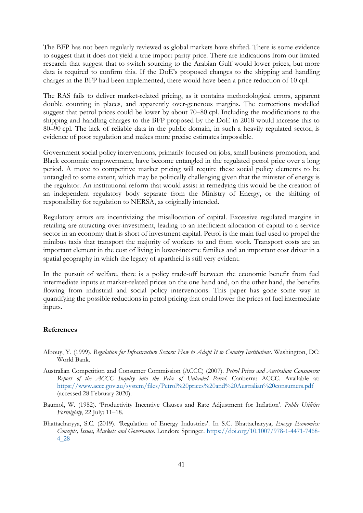The BFP has not been regularly reviewed as global markets have shifted. There is some evidence to suggest that it does not yield a true import parity price. There are indications from our limited research that suggest that to switch sourcing to the Arabian Gulf would lower prices, but more data is required to confirm this. If the DoE's proposed changes to the shipping and handling charges in the BFP had been implemented, there would have been a price reduction of 10 cpl.

The RAS fails to deliver market-related pricing, as it contains methodological errors, apparent double counting in places, and apparently over-generous margins. The corrections modelled suggest that petrol prices could be lower by about 70–80 cpl. Including the modifications to the shipping and handling charges to the BFP proposed by the DoE in 2018 would increase this to 80–90 cpl. The lack of reliable data in the public domain, in such a heavily regulated sector, is evidence of poor regulation and makes more precise estimates impossible.

Government social policy interventions, primarily focused on jobs, small business promotion, and Black economic empowerment, have become entangled in the regulated petrol price over a long period. A move to competitive market pricing will require these social policy elements to be untangled to some extent, which may be politically challenging given that the minister of energy is the regulator. An institutional reform that would assist in remedying this would be the creation of an independent regulatory body separate from the Ministry of Energy, or the shifting of responsibility for regulation to NERSA, as originally intended.

Regulatory errors are incentivizing the misallocation of capital. Excessive regulated margins in retailing are attracting over-investment, leading to an inefficient allocation of capital to a service sector in an economy that is short of investment capital. Petrol is the main fuel used to propel the minibus taxis that transport the majority of workers to and from work. Transport costs are an important element in the cost of living in lower-income families and an important cost driver in a spatial geography in which the legacy of apartheid is still very evident.

In the pursuit of welfare, there is a policy trade-off between the economic benefit from fuel intermediate inputs at market-related prices on the one hand and, on the other hand, the benefits flowing from industrial and social policy interventions. This paper has gone some way in quantifying the possible reductions in petrol pricing that could lower the prices of fuel intermediate inputs.

#### **References**

- Albouy, Y. (1999). *Regulation for Infrastructure Sectors: How to Adapt It to Country Institutions*. Washington, DC: World Bank.
- Australian Competition and Consumer Commission (ACCC) (2007). *Petrol Prices and Australian Consumers: Report of the ACCC Inquiry into the Price of Unleaded Petrol*. Canberra: ACCC. Available at: <https://www.accc.gov.au/system/files/Petrol%20prices%20and%20Australian%20consumers.pdf> (accessed 28 February 2020).
- Baumol, W. (1982). 'Productivity Incentive Clauses and Rate Adjustment for Inflation'. *Public Utilities Fortnightly*, 22 July: 11–18.
- Bhattacharyya, S.C. (2019). 'Regulation of Energy Industries'. In S.C. Bhattacharyya, *Energy Economics: Concepts, Issues, Markets and Governance*. London: Springer. [https://doi.org/10.1007/978-1-4471-7468-](https://doi.org/10.1007/978-1-4471-7468-4_28) [4\\_28](https://doi.org/10.1007/978-1-4471-7468-4_28)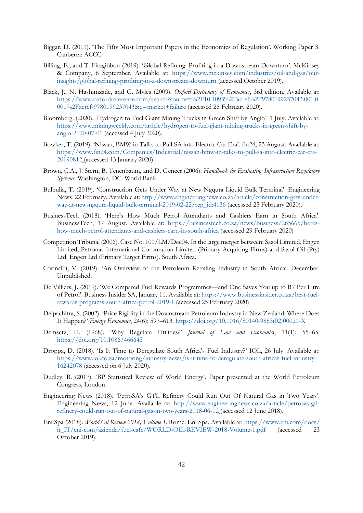- Biggar, D. (2011). 'The Fifty Most Important Papers in the Economics of Regulation'. Working Paper 3. Canberra: ACCC.
- Billing, E., and T. Fitzgibbon (2019). 'Global Refining: Profiting in a Downstream Downturn'. McKinsey & Company, 6 September. Available at: [https://www.mckinsey.com/industries/oil-and-gas/our](https://www.mckinsey.com/industries/oil-and-gas/our-insights/global-refining-profiting-in-a-downstream-downturn)[insights/global-refining-profiting-in-a-downstream-downturn](https://www.mckinsey.com/industries/oil-and-gas/our-insights/global-refining-profiting-in-a-downstream-downturn) (accessed October 2019).
- Black, J., N. Hashimzade, and G. Myles (2009). *Oxford Dictionary of Economics*, 3rd edition. Available at: [https://www.oxfordreference.com/search?source=%2F10.1093%2Facref%2F9780199237043.001.0](https://www.oxfordreference.com/search?source=%2F10.1093%2Facref%2F9780199237043.001.0001%2Facref-9780199237043&q=market+failure) [001%2Facref-9780199237043&q=market+failure](https://www.oxfordreference.com/search?source=%2F10.1093%2Facref%2F9780199237043.001.0001%2Facref-9780199237043&q=market+failure) (accessed 28 February 2020).
- Bloomberg. (2020). 'Hydrogen to Fuel Giant Mining Trucks in Green Shift by Anglo'. 1 July. Available at: [https://www.miningweekly.com/article/hydrogen-to-fuel-giant-mining-trucks-in-green-shift-by](https://www.miningweekly.com/article/hydrogen-to-fuel-giant-mining-trucks-in-green-shift-by-anglo-2020-07-01)[anglo-2020-07-01](https://www.miningweekly.com/article/hydrogen-to-fuel-giant-mining-trucks-in-green-shift-by-anglo-2020-07-01) (accessed 4 July 2020).
- Bowker, T. (2019). 'Nissan, BMW in Talks to Pull SA into Electric Car Era'. fin24, 23 August. Available at: [https://www.fin24.com/Companies/Industrial/nissan-bmw-in-talks-to-pull-sa-into-electric-car-era-](https://www.fin24.com/Companies/Industrial/nissan-bmw-in-talks-to-pull-sa-into-electric-car-era-20190812)[20190812](https://www.fin24.com/Companies/Industrial/nissan-bmw-in-talks-to-pull-sa-into-electric-car-era-20190812) (accessed 13 January 2020).
- Brown, C.A., J. Stern, B. Tenenbaum, and D. Gencer (2006). *Handbook for Evaluating Infrastructure Regulatory Systems*. Washington, DC: World Bank.
- Bulbulia, T. (2019). 'Construction Gets Under Way at New Ngqura Liquid Bulk Terminal'. Engineering News, 22 February. Available at: [http://www.engineeringnews.co.za/article/construction-gets-under](http://www.engineeringnews.co.za/article/construction-gets-under-way-at-new-ngqura-liquid-bulk-terminal-2019-02-22/rep_id:4136)[way-at-new-ngqura-liquid-bulk-terminal-2019-02-22/rep\\_id:4136](http://www.engineeringnews.co.za/article/construction-gets-under-way-at-new-ngqura-liquid-bulk-terminal-2019-02-22/rep_id:4136) (accessed 25 February 2020).
- BusinessTech (2018). 'Here's How Much Petrol Attendants and Cashiers Earn in South Africa'. BusinessTech, 17 August. Available at: [https://businesstech.co.za/news/business/265665/heres](https://businesstech.co.za/news/business/265665/heres-how-much-petrol-attendants-and-cashiers-earn-in-south-africa/)[how-much-petrol-attendants-and-cashiers-earn-in-south-africa](https://businesstech.co.za/news/business/265665/heres-how-much-petrol-attendants-and-cashiers-earn-in-south-africa/) (accessed 29 February 2020)
- Competition Tribunal (2006). Case No. 101/LM/Dec04. In the large merger between: Sasol Limited, Engen Limited, Petronas International Corporation Limited (Primary Acquiring Firms) and Sasol Oil (Pty) Ltd, Engen Ltd (Primary Target Firms). South Africa.
- Corinaldi, V. (2019). 'An Overview of the Petroleum Retailing Industry in South Africa'. December. Unpublished.
- De Villiers, J. (2019). 'We Compared Fuel Rewards Programmes—and One Saves You up to R7 Per Litre of Petrol'. Business Insider SA, January 11. Available at: [https://www.businessinsider.co.za/best-fuel](https://www.businessinsider.co.za/best-fuel-rewards-programs-south-africa-petrol-2019-1)[rewards-programs-south-africa-petrol-2019-1](https://www.businessinsider.co.za/best-fuel-rewards-programs-south-africa-petrol-2019-1) (accessed 25 February 2020)
- Delpachitra, S. (2002). 'Price Rigidity in the Downstream Petroleum Industry in New Zealand: Where Does It Happen?' *Energy Economics*, 24(6): 597–613. [https://doi.org/10.1016/S0140-9883\(02\)00021-X](https://doi.org/10.1016/S0140-9883(02)00021-X)
- Demsetz, H. (1968). 'Why Regulate Utilities?' *Journal of Law and Economics*, 11(1): 55–65. <https://doi.org/10.1086/466643>
- Droppa, D. (2018). 'Is It Time to Deregulate South Africa's Fuel Industry?' IOL, 26 July. Available at: [https://www.iol.co.za/motoring/industry-news/is-it-time-to-deregulate-south-africas-fuel-industry-](https://www.iol.co.za/motoring/industry-news/is-it-time-to-deregulate-south-africas-fuel-industry-16242078)[16242078](https://www.iol.co.za/motoring/industry-news/is-it-time-to-deregulate-south-africas-fuel-industry-16242078) (accessed on 6 July 2020).
- Dudley, B. (2017). 'BP Statistical Review of World Energy'. Paper presented at the World Petroleum Congress, London.
- Engineering News (2018). 'PetroSA's GTL Refinery Could Run Out Of Natural Gas in Two Years'. Engineering News, 12 June. Available at: [http://www.engineeringnews.co.za/article/petrosas-gtl](http://www.engineeringnews.co.za/article/petrosas-gtl-refinery-could-run-out-of-natural-gas-in-two-years-2018-06-12)[refinery-could-run-out-of-natural-gas-in-two-years-2018-06-12](http://www.engineeringnews.co.za/article/petrosas-gtl-refinery-could-run-out-of-natural-gas-in-two-years-2018-06-12) (accessed 12 June 2018).
- Eni Spa (2018). *World Oil Review 2018, Volume 1*. Rome: Eni Spa. Available at: [https://www.eni.com/docs/](https://www.eni.com/docs/it_IT/eni-com/azienda/fuel-cafe/WORLD-OIL-REVIEW-2018-Volume-1.pdf) [it\\_IT/eni-com/azienda/fuel-cafe/WORLD-OIL-REVIEW-2018-Volume-1.pdf](https://www.eni.com/docs/it_IT/eni-com/azienda/fuel-cafe/WORLD-OIL-REVIEW-2018-Volume-1.pdf) (accessed 23 October 2019).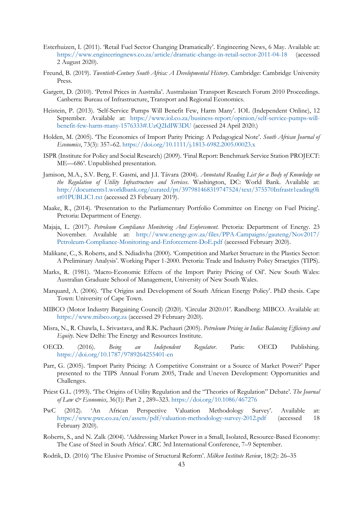- Esterhuizen, I. (2011). 'Retail Fuel Sector Changing Dramatically'. Engineering News, 6 May. Available at: <https://www.engineeringnews.co.za/article/dramatic-change-in-retail-sector-2011-04-18> (accessed 2 August 2020).
- Freund, B. (2019). *Twentieth-Century South Africa: A Developmental History*. Cambridge: Cambridge University Press.
- Gargett, D. (2010). 'Petrol Prices in Australia'. Australasian Transport Research Forum 2010 Proceedings. Canberra: Bureau of Infrastructure, Transport and Regional Economics.
- Heistein, P. (2013). 'Self-Service Pumps Will Benefit Few, Harm Many'. IOL (Independent Online), 12 September. Available at: [https://www.iol.co.za/business-report/opinion/self-service-pumps-will](https://www.iol.co.za/business-report/opinion/self-service-pumps-will-benefit-few-harm-many-1576333#.UzQ2IdIW3DU)[benefit-few-harm-many-1576333#.UzQ2IdIW3DU](https://www.iol.co.za/business-report/opinion/self-service-pumps-will-benefit-few-harm-many-1576333#.UzQ2IdIW3DU) (accessed 24 April 2020.)
- Holden, M. (2005). 'The Economics of Import Parity Pricing: A Pedagogical Note'. *South African Journal of Economics*, 73(3): 357–62. https://doi.org/10.1111/j.1813-6982.2005.00023.x
- ISPR (Institute for Policy and Social Research) (2009). 'Final Report: Benchmark Service Station PROJECT: ME—686'. Unpublished presentation.
- Jamison, M.A., S.V. Berg, F. Gasmi, and J.I. Távara (2004). *Annotated Reading List for a Body of Knowledge on the Regulation of Utility Infrastructure and Services*. Washington, DC: World Bank. Available at: [http://documents1.worldbank.org/curated/pt/397981468319747524/text/375570Infrastr1eading0li](http://documents1.worldbank.org/curated/pt/397981468319747524/text/375570Infrastr1eading0list01PUBLIC1.txt) [st01PUBLIC1.txt](http://documents1.worldbank.org/curated/pt/397981468319747524/text/375570Infrastr1eading0list01PUBLIC1.txt) (accessed 23 February 2019).
- Maake, R., (2014). 'Presentation to the Parliamentary Portfolio Committee on Energy on Fuel Pricing'. Pretoria: Department of Energy.
- Majaja, L. (2017). *Petroleum Compliance Monitoring And Enforcement*. Pretoria: Department of Energy. 23 November. Available at: [http://www.energy.gov.za/files/PPA-Campaigns/gauteng/Nov2017/](http://www.energy.gov.za/files/PPA-Campaigns/gauteng/Nov2017/Petroleum-Compliance-Monitoring-and-Enforcement-DoE.pdf) [Petroleum-Compliance-Monitoring-and-Enforcement-DoE.pdf](http://www.energy.gov.za/files/PPA-Campaigns/gauteng/Nov2017/Petroleum-Compliance-Monitoring-and-Enforcement-DoE.pdf) (accessed February 2020).
- Malikane, C., S. Roberts, and S. Ndiadivha (2000). 'Competition and Market Structure in the Plastics Sector: A Preliminary Analysis'. Working Paper 1-2000. Pretoria: Trade and Industry Policy Straetgies (TIPS).
- Marks, R. (1981). 'Macro-Economic Effects of the Import Parity Pricing of Oil'. New South Wales: Australian Graduate School of Management, University of New South Wales.
- Marquard, A. (2006). 'The Origins and Development of South African Energy Policy'. PhD thesis. Cape Town: University of Cape Town.
- MIBCO (Motor Industry Bargaining Council) (2020). 'Circular 2020.01'. Randberg: MIBCO. Available at: [https://www.mibco.org.za](https://www.mibco.org.za/) (accessed 29 February 2020).
- Misra, N., R. Chawla, L. Srivastava, and R.K. Pachauri (2005). *Petroleum Pricing in India: Balancing Efficiency and Equity*. New Delhi: The Energy and Resources Institute.
- OECD. (2016). *Being an Independent Regulator*. Paris: OECD Publishing. <https://doi.org/10.1787/9789264255401-en>
- Parr, G. (2005). 'Import Parity Pricing: A Competitive Constraint or a Source of Market Power?' Paper presented to the TIPS Annual Forum 2005, Trade and Uneven Development: Opportunities and Challenges.
- Priest G.L. (1993). 'The Origins of Utility Regulation and the "Theories of Regulation" Debate'. *The Journal of Law & Economics*, 36(1): Part 2 , 289–323. <https://doi.org/10.1086/467276>
- PwC (2012). 'An African Perspective Valuation Methodology Survey'. Available at: <https://www.pwc.co.za/en/assets/pdf/valuation-methodology-survey-2012.pdf> (accessed 18 February 2020).
- Roberts, S., and N. Zalk (2004). 'Addressing Market Power in a Small, Isolated, Resource-Based Economy: The Case of Steel in South Africa'. CRC 3rd International Conference, 7–9 September.
- Rodrik, D. (2016) 'The Elusive Promise of Structural Reform'. *Milken Institute Review*, 18(2): 26–35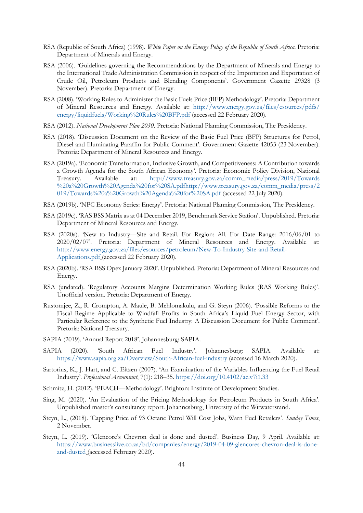- RSA (Republic of South Africa) (1998). *White Paper on the Energy Policy of the Republic of South Africa*. Pretoria: Department of Minerals and Energy.
- RSA (2006). 'Guidelines governing the Recommendations by the Department of Minerals and Energy to the International Trade Administration Commission in respect of the Importation and Exportation of Crude Oil, Petroleum Products and Blending Components'. Government Gazette 29328 (3 November). Pretoria: Department of Energy.
- RSA (2008). 'Working Rules to Administer the Basic Fuels Price (BFP) Methodology'. Pretoria: Department of Mineral Resources and Energy. Available at: [http://www.energy.gov.za/files/esources/pdfs/](http://www.energy.gov.za/files/esources/pdfs/energy/liquidfuels/Working%20Rules%20BFP.pdf) [energy/liquidfuels/Working%20Rules%20BFP.pdf](http://www.energy.gov.za/files/esources/pdfs/energy/liquidfuels/Working%20Rules%20BFP.pdf) (accessed 22 February 2020).
- RSA (2012). *National Development Plan 2030*. Pretoria: National Planning Commission, The Presidency.
- RSA (2018). 'Discussion Document on the Review of the Basic Fuel Price (BFP) Structures for Petrol, Diesel and Illuminating Paraffin for Public Comment'. Government Gazette 42053 (23 November). Pretoria: Department of Mineral Resources and Energy.
- RSA (2019a). 'Economic Transformation, Inclusive Growth, and Competitiveness: A Contribution towards a Growth Agenda for the South African Economy'. Pretoria: Economic Policy Division, National Treasury. Available at: [http://www.treasury.gov.za/comm\\_media/press/2019/Towards](http://www.treasury.gov.za/comm_media/press/2019/Towards%20a%20Growth%20Agenda%20for%20SA.pdf) [%20a%20Growth%20Agenda%20for%20SA.pdfhttp://www.treasury.gov.za/comm\\_media/press/2](http://www.treasury.gov.za/comm_media/press/2019/Towards%20a%20Growth%20Agenda%20for%20SA.pdf) [019/Towards%20a%20Growth%20Agenda%20for%20SA.pdf](http://www.treasury.gov.za/comm_media/press/2019/Towards%20a%20Growth%20Agenda%20for%20SA.pdf) (accessed 22 July 2020).
- RSA (2019b). 'NPC Economy Series: Energy'. Pretoria: National Planning Commission, The Presidency.
- RSA (2019c). 'RAS BSS Matrix as at 04 December 2019, Benchmark Service Station'. Unpublished. Pretoria: Department of Mineral Resources and Energy.
- RSA (2020a). 'New to Industry—Site and Retail. For Region: All. For Date Range: 2016/06/01 to 2020/02/07'. Pretoria: Department of Mineral Resources and Energy. Available at: [http://www.energy.gov.za/files/esources/petroleum/New-To-Industry-Site-and-Retail-](http://www.energy.gov.za/files/esources/petroleum/New-To-Industry-Site-and-Retail-Applications.pdf)[Applications.pdf](http://www.energy.gov.za/files/esources/petroleum/New-To-Industry-Site-and-Retail-Applications.pdf) (accessed 22 February 2020).
- RSA (2020b). 'RSA BSS Opex January 2020'. Unpublished. Pretoria: Department of Mineral Resources and Energy.
- RSA (undated). 'Regulatory Accounts Margins Determination Working Rules (RAS Working Rules)'. Unofficial version. Pretoria: Department of Energy.
- Rustomjee, Z., R. Crompton, A. Maule, B. Mehlomakulu, and G. Steyn (2006). 'Possible Reforms to the Fiscal Regime Applicable to Windfall Profits in South Africa's Liquid Fuel Energy Sector, with Particular Reference to the Synthetic Fuel Industry: A Discussion Document for Public Comment'. Pretoria: National Treasury.
- SAPIA (2019). 'Annual Report 2018'. Johannesburg: SAPIA.
- SAPIA (2020). 'South African Fuel Industry'. Johannesburg: SAPIA. Available at: <https://www.sapia.org.za/Overview/South-African-fuel-industry> (accessed 16 March 2020).
- Sartorius, K., J. Hart, and C. Eitzen (2007). 'An Examination of the Variables Influencing the Fuel Retail Industry'. *Professional Accountant*, 7(1): 218–35. <https://doi.org/10.4102/ac.v7i1.33>
- Schmitz, H. (2012). 'PEACH—Methodology'. Brighton: Institute of Development Studies.
- Sing, M. (2020). 'An Evaluation of the Pricing Methodology for Petroleum Products in South Africa'. Unpublished master's consultancy report. Johannesburg, University of the Witwatersrand.
- Steyn, L., (2018). 'Capping Price of 93 Octane Petrol Will Cost Jobs' Warn Fuel Retailers'. *Sunday Times*, 2 November.
- Steyn, L. (2019). 'Glencore's Chevron deal is done and dusted'. Business Day, 9 April. Available at: [https://www.businesslive.co.za/bd/companies/energy/2019-04-09-glencores-chevron-deal-is-done](https://www.businesslive.co.za/bd/companies/energy/2019-04-09-glencores-chevron-deal-is-done-and-dusted/)[and-dusted](https://www.businesslive.co.za/bd/companies/energy/2019-04-09-glencores-chevron-deal-is-done-and-dusted/) (accessed February 2020).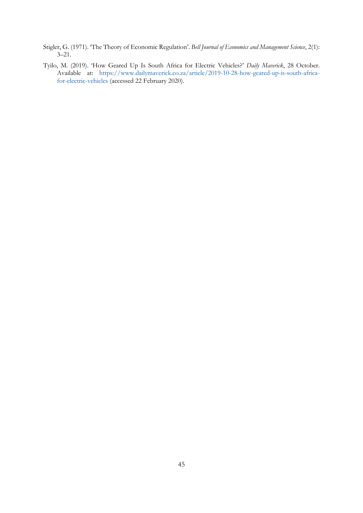- Stigler, G. (1971). 'The Theory of Economic Regulation'. *Bell Journal of Economics and Management Science*, 2(1): 3–21.
- Tyilo, M. (2019). 'How Geared Up Is South Africa for Electric Vehicles?' *Daily Maverick*, 28 October. Available at: [https://www.dailymaverick.co.za/article/2019-10-28-how-geared-up-is-south-africa](https://www.dailymaverick.co.za/article/2019-10-28-how-geared-up-is-south-africa-for-electric-vehicles)[for-electric-vehicles](https://www.dailymaverick.co.za/article/2019-10-28-how-geared-up-is-south-africa-for-electric-vehicles) (accessed 22 February 2020).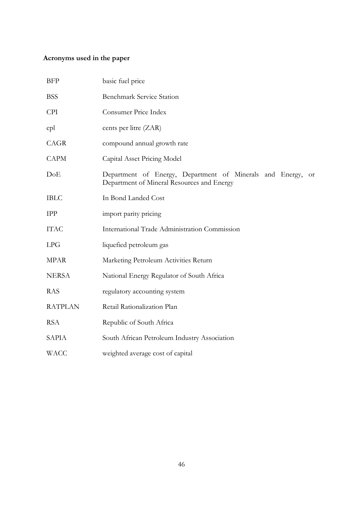# **Acronyms used in the paper**

| <b>BFP</b>     | basic fuel price                                                                                                    |
|----------------|---------------------------------------------------------------------------------------------------------------------|
| <b>BSS</b>     | <b>Benchmark Service Station</b>                                                                                    |
| <b>CPI</b>     | Consumer Price Index                                                                                                |
| cpl            | cents per litre (ZAR)                                                                                               |
| CAGR           | compound annual growth rate                                                                                         |
| <b>CAPM</b>    | Capital Asset Pricing Model                                                                                         |
| DoE            | Department of Energy, Department of Minerals and Energy,<br><b>or</b><br>Department of Mineral Resources and Energy |
| <b>IBLC</b>    | In Bond Landed Cost                                                                                                 |
| <b>IPP</b>     | import parity pricing                                                                                               |
| <b>ITAC</b>    | International Trade Administration Commission                                                                       |
| LPG            | liquefied petroleum gas                                                                                             |
| MPAR           | Marketing Petroleum Activities Return                                                                               |
| <b>NERSA</b>   | National Energy Regulator of South Africa                                                                           |
| <b>RAS</b>     | regulatory accounting system                                                                                        |
| <b>RATPLAN</b> | Retail Rationalization Plan                                                                                         |
| <b>RSA</b>     | Republic of South Africa                                                                                            |
| SAPIA          | South African Petroleum Industry Association                                                                        |
| <b>WACC</b>    | weighted average cost of capital                                                                                    |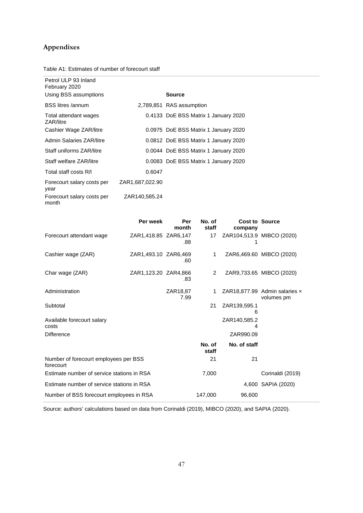# **Appendixes**

Table A1: Estimates of number of forecourt staff

| Petrol ULP 93 Inland<br>February 2020 |                 |                                      |
|---------------------------------------|-----------------|--------------------------------------|
| Using BSS assumptions                 |                 | Source                               |
| <b>BSS</b> litres /annum              |                 | 2,789,851 RAS assumption             |
| Total attendant wages<br>ZAR/litre    |                 | 0.4133 DoE BSS Matrix 1 January 2020 |
| Cashier Wage ZAR/litre                |                 | 0.0975 DoE BSS Matrix 1 January 2020 |
| Admin Salaries ZAR/litre              |                 | 0.0812 DoE BSS Matrix 1 January 2020 |
| Staff uniforms ZAR/litre              |                 | 0.0044 DoE BSS Matrix 1 January 2020 |
| Staff welfare ZAR/litre               |                 | 0.0083 DoE BSS Matrix 1 January 2020 |
| Total staff costs R/I                 | 0.6047          |                                      |
| Forecourt salary costs per<br>year    | ZAR1,687,022.90 |                                      |
| Forecourt salary costs per<br>month   | ZAR140,585.24   |                                      |

|                                                    | Per week             | Per<br>month     | No. of<br>staff | <b>Cost to Source</b><br>company |                                                    |
|----------------------------------------------------|----------------------|------------------|-----------------|----------------------------------|----------------------------------------------------|
| Forecourt attendant wage                           | ZAR1,418.85 ZAR6,147 | .88              | 17              | ZAR104,513.9 MIBCO (2020)        |                                                    |
| Cashier wage (ZAR)                                 | ZAR1,493.10 ZAR6,469 | .60              | 1               |                                  | ZAR6,469.60 MIBCO (2020)                           |
| Char wage (ZAR)                                    | ZAR1,123.20 ZAR4,866 | .83              | 2               |                                  | ZAR9,733.65 MIBCO (2020)                           |
| Administration                                     |                      | ZAR18,87<br>7.99 | 1               |                                  | ZAR18,877.99 Admin salaries $\times$<br>volumes pm |
| Subtotal                                           |                      |                  | 21              | ZAR139,595.1<br>6                |                                                    |
| Available forecourt salary<br>costs                |                      |                  |                 | ZAR140,585.2<br>4                |                                                    |
| <b>Difference</b>                                  |                      |                  |                 | ZAR990.09                        |                                                    |
|                                                    |                      |                  | No. of<br>staff | No. of staff                     |                                                    |
| Number of forecourt employees per BSS<br>forecourt |                      |                  | 21              | 21                               |                                                    |
| Estimate number of service stations in RSA         |                      |                  | 7,000           |                                  | Corinaldi (2019)                                   |
| Estimate number of service stations in RSA         |                      |                  |                 |                                  | 4,600 SAPIA (2020)                                 |
| Number of BSS forecourt employees in RSA           |                      |                  | 147,000         | 96,600                           |                                                    |

Source: authors' calculations based on data from Corinaldi (2019), MIBCO (2020), and SAPIA (2020).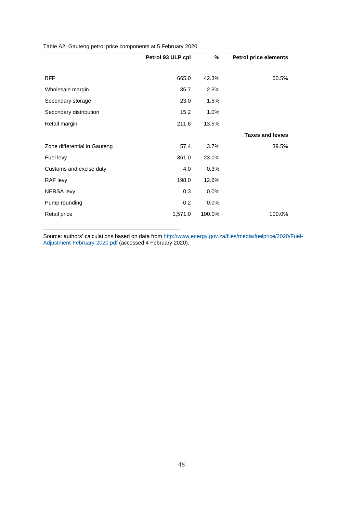Table A2: Gauteng petrol price components at 5 February 2020

| Petrol 93 ULP cpl | %      | <b>Petrol price elements</b> |
|-------------------|--------|------------------------------|
|                   |        |                              |
| 665.0             | 42.3%  | 60.5%                        |
| 35.7              | 2.3%   |                              |
| 23.0              | 1.5%   |                              |
| 15.2              | 1.0%   |                              |
| 211.6             | 13.5%  |                              |
|                   |        | <b>Taxes and levies</b>      |
| 57.4              | 3.7%   | 39.5%                        |
| 361.0             | 23.0%  |                              |
| 4.0               | 0.3%   |                              |
| 198.0             | 12.6%  |                              |
| 0.3               | 0.0%   |                              |
| $-0.2$            | 0.0%   |                              |
| 1,571.0           | 100.0% | 100.0%                       |
|                   |        |                              |

Source: authors' calculations based on data fro[m http://www.energy.gov.za/files/media/fuelprice/2020/Fuel-](http://www.energy.gov.za/files/media/fuelprice/2020/Fuel-Adjustment-February-2020.pdf)[Adjustment-February-2020.pdf](http://www.energy.gov.za/files/media/fuelprice/2020/Fuel-Adjustment-February-2020.pdf) (accessed 4 February 2020).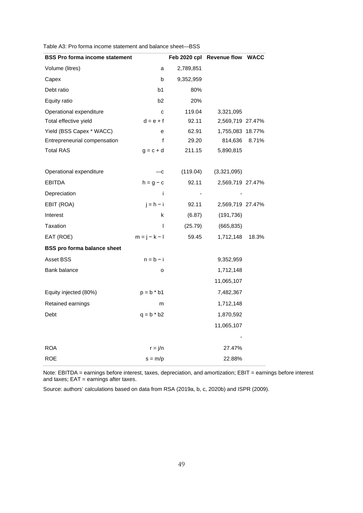| <b>BSS Pro forma income statement</b> |                 |           | Feb 2020 cpl Revenue flow WACC |       |
|---------------------------------------|-----------------|-----------|--------------------------------|-------|
| Volume (litres)                       | a               | 2,789,851 |                                |       |
| Capex                                 | b               | 9,352,959 |                                |       |
| Debt ratio                            | b1              | 80%       |                                |       |
| Equity ratio                          | b2              | 20%       |                                |       |
| Operational expenditure               | C               | 119.04    | 3,321,095                      |       |
| Total effective yield                 | $d = e + f$     | 92.11     | 2,569,719 27.47%               |       |
| Yield (BSS Capex * WACC)              | e               | 62.91     | 1,755,083 18.77%               |       |
| Entrepreneurial compensation          | f               | 29.20     | 814,636                        | 8.71% |
| <b>Total RAS</b>                      | $q = c + d$     | 211.15    | 5,890,815                      |       |
|                                       |                 |           |                                |       |
| Operational expenditure               | $-c$            | (119.04)  | (3,321,095)                    |       |
| <b>EBITDA</b>                         | $h = g - c$     | 92.11     | 2,569,719 27.47%               |       |
| Depreciation                          | Ť               |           |                                |       |
| EBIT (ROA)                            | $j = h - i$     | 92.11     | 2,569,719 27.47%               |       |
| Interest                              | k               | (6.87)    | (191, 736)                     |       |
| Taxation                              | $\mathbf{I}$    | (25.79)   | (665, 835)                     |       |
| EAT (ROE)                             | $m = j - k - l$ | 59.45     | 1,712,148                      | 18.3% |
| <b>BSS pro forma balance sheet</b>    |                 |           |                                |       |
| Asset BSS                             | $n = b - i$     |           | 9,352,959                      |       |
| Bank balance                          | о               |           | 1,712,148                      |       |
|                                       |                 |           | 11,065,107                     |       |
| Equity injected (80%)                 | $p = b * b1$    |           | 7,482,367                      |       |
| Retained earnings                     | m               |           | 1,712,148                      |       |
| Debt                                  | $q = b * b2$    |           | 1,870,592                      |       |
|                                       |                 |           | 11,065,107                     |       |
|                                       |                 |           |                                |       |
| <b>ROA</b>                            | $r = j/n$       |           | 27.47%                         |       |
| <b>ROE</b>                            | $s = m/p$       |           | 22.88%                         |       |

Table A3: Pro forma income statement and balance sheet—BSS

Note: EBITDA = earnings before interest, taxes, depreciation, and amortization; EBIT = earnings before interest and taxes; EAT = earnings after taxes.

Source: authors' calculations based on data from RSA (2019a, b, c, 2020b) and ISPR (2009).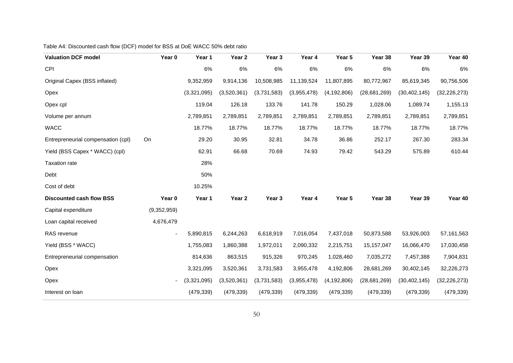#### Table A4: Discounted cash flow (DCF) model for BSS at DoE WACC 50% debt ratio

| <b>Valuation DCF model</b>         | Year 0                   | Year 1      | Year <sub>2</sub> | Year 3      | Year 4      | Year 5        | Year 38        | Year 39        | Year 40        |
|------------------------------------|--------------------------|-------------|-------------------|-------------|-------------|---------------|----------------|----------------|----------------|
| <b>CPI</b>                         |                          | 6%          | 6%                | 6%          | 6%          | 6%            | 6%             | 6%             | 6%             |
| Original Capex (BSS inflated)      |                          | 9,352,959   | 9,914,136         | 10,508,985  | 11,139,524  | 11,807,895    | 80,772,967     | 85,619,345     | 90,756,506     |
| Opex                               |                          | (3,321,095) | (3,520,361)       | (3,731,583) | (3,955,478) | (4, 192, 806) | (28, 681, 269) | (30, 402, 145) | (32, 226, 273) |
| Opex cpl                           |                          | 119.04      | 126.18            | 133.76      | 141.78      | 150.29        | 1,028.06       | 1,089.74       | 1,155.13       |
| Volume per annum                   |                          | 2,789,851   | 2,789,851         | 2,789,851   | 2,789,851   | 2,789,851     | 2,789,851      | 2,789,851      | 2,789,851      |
| <b>WACC</b>                        |                          | 18.77%      | 18.77%            | 18.77%      | 18.77%      | 18.77%        | 18.77%         | 18.77%         | 18.77%         |
| Entrepreneurial compensation (cpl) | On                       | 29.20       | 30.95             | 32.81       | 34.78       | 36.86         | 252.17         | 267.30         | 283.34         |
| Yield (BSS Capex * WACC) (cpl)     |                          | 62.91       | 66.68             | 70.69       | 74.93       | 79.42         | 543.29         | 575.89         | 610.44         |
| <b>Taxation rate</b>               |                          | 28%         |                   |             |             |               |                |                |                |
| Debt                               |                          | 50%         |                   |             |             |               |                |                |                |
| Cost of debt                       |                          | 10.25%      |                   |             |             |               |                |                |                |
| <b>Discounted cash flow BSS</b>    | Year 0                   | Year 1      | Year 2            | Year 3      | Year 4      | Year 5        | Year 38        | Year 39        | Year 40        |
| Capital expenditure                | (9,352,959)              |             |                   |             |             |               |                |                |                |
| Loan capital received              | 4,676,479                |             |                   |             |             |               |                |                |                |
| RAS revenue                        | $\overline{\phantom{0}}$ | 5,890,815   | 6,244,263         | 6,618,919   | 7,016,054   | 7,437,018     | 50,873,588     | 53,926,003     | 57, 161, 563   |
| Yield (BSS * WACC)                 |                          | 1,755,083   | 1,860,388         | 1,972,011   | 2,090,332   | 2,215,751     | 15, 157, 047   | 16,066,470     | 17,030,458     |
| Entrepreneurial compensation       |                          | 814,636     | 863,515           | 915,326     | 970,245     | 1,028,460     | 7,035,272      | 7,457,388      | 7,904,831      |
| Opex                               |                          | 3,321,095   | 3,520,361         | 3,731,583   | 3,955,478   | 4,192,806     | 28,681,269     | 30,402,145     | 32,226,273     |
| Opex                               |                          | (3,321,095) | (3,520,361)       | (3,731,583) | (3,955,478) | (4, 192, 806) | (28,681,269)   | (30, 402, 145) | (32, 226, 273) |
| Interest on loan                   |                          | (479, 339)  | (479, 339)        | (479, 339)  | (479, 339)  | (479, 339)    | (479, 339)     | (479, 339)     | (479, 339)     |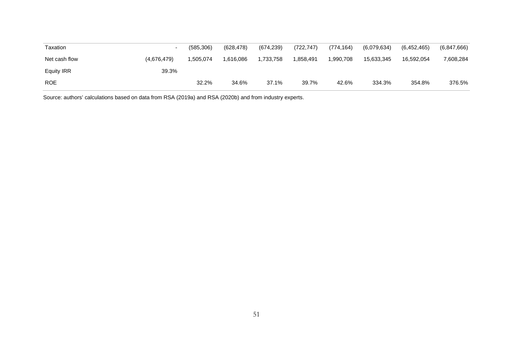| Taxation          |             | (585, 306) | (628, 478) | (674, 239) | (722, 747) | (774, 164) | (6,079,634) | (6,452,465) | (6,847,666) |
|-------------------|-------------|------------|------------|------------|------------|------------|-------------|-------------|-------------|
| Net cash flow     | (4,676,479) | .505,074   | 1.616.086  | 1,733,758  | .858,491   | 1.990.708  | 15.633.345  | 16.592.054  | 7,608,284   |
| <b>Equity IRR</b> | 39.3%       |            |            |            |            |            |             |             |             |
| <b>ROE</b>        |             | 32.2%      | 34.6%      | 37.1%      | 39.7%      | 42.6%      | 334.3%      | 354.8%      | 376.5%      |

Source: authors' calculations based on data from RSA (2019a) and RSA (2020b) and from industry experts.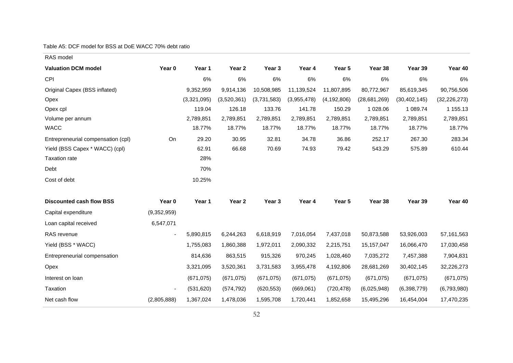#### Table A5: DCF model for BSS at DoE WACC 70% debt ratio

| RAS model                          |                |             |             |                   |             |               |              |                |                |
|------------------------------------|----------------|-------------|-------------|-------------------|-------------|---------------|--------------|----------------|----------------|
| <b>Valuation DCM model</b>         | Year 0         | Year 1      | Year 2      | Year <sub>3</sub> | Year 4      | Year 5        | Year 38      | Year 39        | Year 40        |
| CPI                                |                | 6%          | 6%          | 6%                | 6%          | 6%            | 6%           | 6%             | 6%             |
| Original Capex (BSS inflated)      |                | 9,352,959   | 9,914,136   | 10,508,985        | 11,139,524  | 11,807,895    | 80,772,967   | 85,619,345     | 90,756,506     |
| Opex                               |                | (3,321,095) | (3,520,361) | (3,731,583)       | (3,955,478) | (4, 192, 806) | (28,681,269) | (30, 402, 145) | (32, 226, 273) |
| Opex cpl                           |                | 119.04      | 126.18      | 133.76            | 141.78      | 150.29        | 1 028.06     | 1 089.74       | 1 155.13       |
| Volume per annum                   |                | 2,789,851   | 2,789,851   | 2,789,851         | 2,789,851   | 2,789,851     | 2,789,851    | 2,789,851      | 2,789,851      |
| <b>WACC</b>                        |                | 18.77%      | 18.77%      | 18.77%            | 18.77%      | 18.77%        | 18.77%       | 18.77%         | 18.77%         |
| Entrepreneurial compensation (cpl) | On             | 29.20       | 30.95       | 32.81             | 34.78       | 36.86         | 252.17       | 267.30         | 283.34         |
| Yield (BSS Capex * WACC) (cpl)     |                | 62.91       | 66.68       | 70.69             | 74.93       | 79.42         | 543.29       | 575.89         | 610.44         |
| <b>Taxation rate</b>               |                | 28%         |             |                   |             |               |              |                |                |
| Debt                               |                | 70%         |             |                   |             |               |              |                |                |
| Cost of debt                       |                | 10.25%      |             |                   |             |               |              |                |                |
| <b>Discounted cash flow BSS</b>    | Year 0         | Year 1      | Year 2      | Year <sub>3</sub> | Year 4      | Year 5        | Year 38      | Year 39        | Year 40        |
| Capital expenditure                | (9,352,959)    |             |             |                   |             |               |              |                |                |
| Loan capital received              | 6,547,071      |             |             |                   |             |               |              |                |                |
| RAS revenue                        | $\blacksquare$ | 5,890,815   | 6,244,263   | 6,618,919         | 7,016,054   | 7,437,018     | 50,873,588   | 53,926,003     | 57, 161, 563   |
| Yield (BSS * WACC)                 |                | 1,755,083   | 1,860,388   | 1,972,011         | 2,090,332   | 2,215,751     | 15, 157, 047 | 16,066,470     | 17,030,458     |
| Entrepreneurial compensation       |                | 814,636     | 863,515     | 915,326           | 970,245     | 1,028,460     | 7,035,272    | 7,457,388      | 7,904,831      |
| Opex                               |                | 3,321,095   | 3,520,361   | 3,731,583         | 3,955,478   | 4,192,806     | 28,681,269   | 30,402,145     | 32,226,273     |
| Interest on loan                   |                | (671, 075)  | (671, 075)  | (671, 075)        | (671, 075)  | (671, 075)    | (671, 075)   | (671, 075)     | (671, 075)     |
| Taxation                           |                | (531, 620)  | (574, 792)  | (620, 553)        | (669,061)   | (720, 478)    | (6,025,948)  | (6,398,779)    | (6,793,980)    |
| Net cash flow                      | (2,805,888)    | 1,367,024   | 1,478,036   | 1,595,708         | 1,720,441   | 1,852,658     | 15,495,296   | 16,454,004     | 17,470,235     |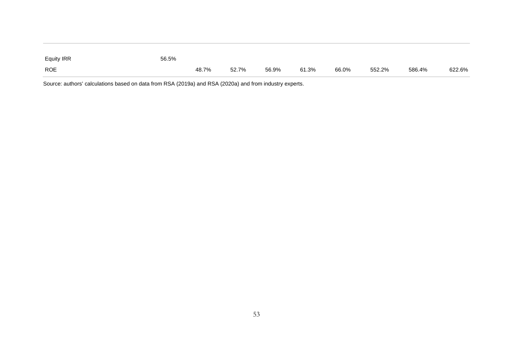| Equity IRR | 56.5% |       |       |       |       |       |        |        |        |
|------------|-------|-------|-------|-------|-------|-------|--------|--------|--------|
| <b>ROE</b> |       | 48.7% | 52.7% | 56.9% | 61.3% | 66.0% | 552.2% | 586.4% | 622.6% |

Source: authors' calculations based on data from RSA (2019a) and RSA (2020a) and from industry experts.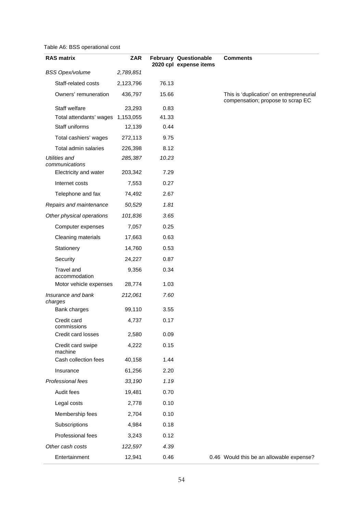#### Table A6: BSS operational cost

| <b>RAS matrix</b>                      | <b>ZAR</b> |       | <b>February Questionable</b><br>2020 cpl expense items | <b>Comments</b>                                                               |
|----------------------------------------|------------|-------|--------------------------------------------------------|-------------------------------------------------------------------------------|
| <b>BSS Opex/volume</b>                 | 2,789,851  |       |                                                        |                                                                               |
| Staff-related costs                    | 2,123,796  | 76.13 |                                                        |                                                                               |
| Owners' remuneration                   | 436,797    | 15.66 |                                                        | This is 'duplication' on entrepreneurial<br>compensation; propose to scrap EC |
| Staff welfare                          | 23,293     | 0.83  |                                                        |                                                                               |
| Total attendants' wages 1,153,055      |            | 41.33 |                                                        |                                                                               |
| Staff uniforms                         | 12,139     | 0.44  |                                                        |                                                                               |
| Total cashiers' wages                  | 272,113    | 9.75  |                                                        |                                                                               |
| Total admin salaries                   | 226,398    | 8.12  |                                                        |                                                                               |
| <b>Utilities and</b><br>communications | 285,387    | 10.23 |                                                        |                                                                               |
| Electricity and water                  | 203,342    | 7.29  |                                                        |                                                                               |
| Internet costs                         | 7,553      | 0.27  |                                                        |                                                                               |
| Telephone and fax                      | 74,492     | 2.67  |                                                        |                                                                               |
| Repairs and maintenance                | 50,529     | 1.81  |                                                        |                                                                               |
| Other physical operations              | 101,836    | 3.65  |                                                        |                                                                               |
| Computer expenses                      | 7,057      | 0.25  |                                                        |                                                                               |
| Cleaning materials                     | 17,663     | 0.63  |                                                        |                                                                               |
| Stationery                             | 14,760     | 0.53  |                                                        |                                                                               |
| Security                               | 24,227     | 0.87  |                                                        |                                                                               |
| Travel and<br>accommodation            | 9,356      | 0.34  |                                                        |                                                                               |
| Motor vehicle expenses                 | 28,774     | 1.03  |                                                        |                                                                               |
| Insurance and bank<br>charges          | 212,061    | 7.60  |                                                        |                                                                               |
| Bank charges                           | 99,110     | 3.55  |                                                        |                                                                               |
| Credit card<br>commissions             | 4,737      | 0.17  |                                                        |                                                                               |
| Credit card losses                     | 2,580      | 0.09  |                                                        |                                                                               |
| Credit card swipe<br>machine           | 4,222      | 0.15  |                                                        |                                                                               |
| Cash collection fees                   | 40,158     | 1.44  |                                                        |                                                                               |
| Insurance                              | 61,256     | 2.20  |                                                        |                                                                               |
| Professional fees                      | 33,190     | 1.19  |                                                        |                                                                               |
| Audit fees                             | 19,481     | 0.70  |                                                        |                                                                               |
| Legal costs                            | 2,778      | 0.10  |                                                        |                                                                               |
| Membership fees                        | 2,704      | 0.10  |                                                        |                                                                               |
| Subscriptions                          | 4,984      | 0.18  |                                                        |                                                                               |
| Professional fees                      | 3,243      | 0.12  |                                                        |                                                                               |
| Other cash costs                       | 122,597    | 4.39  |                                                        |                                                                               |
| Entertainment                          | 12,941     | 0.46  |                                                        | 0.46 Would this be an allowable expense?                                      |